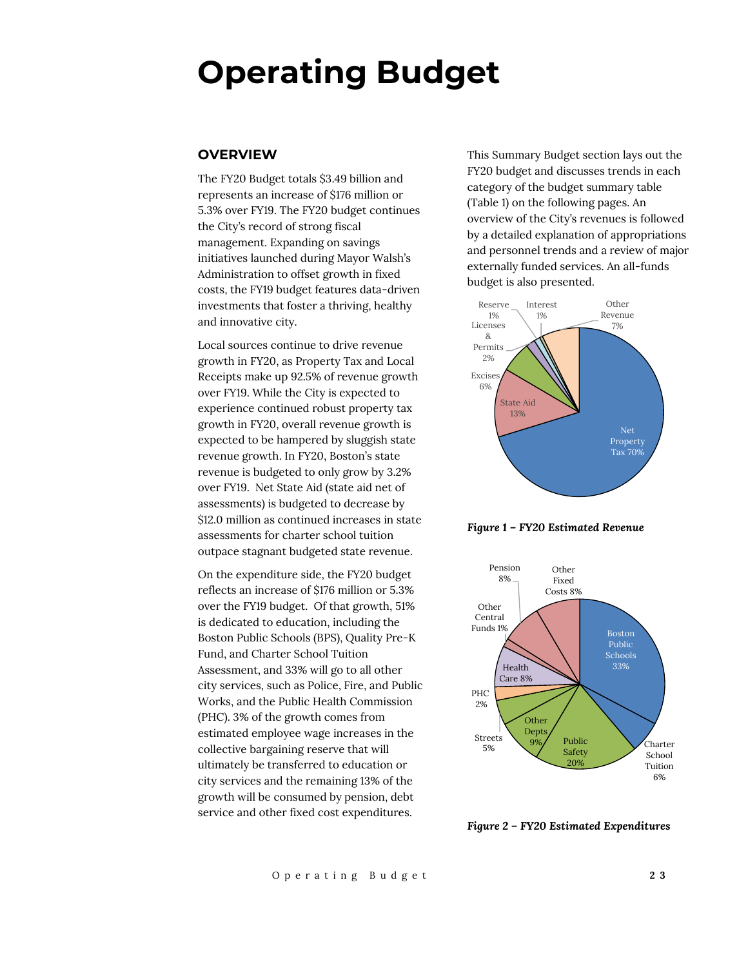# **Operating Budget**

## **OVERVIEW**

The FY20 Budget totals \$3.49 billion and represents an increase of \$176 million or 5.3% over FY19. The FY20 budget continues the City's record of strong fiscal management. Expanding on savings initiatives launched during Mayor Walsh's Administration to offset growth in fixed costs, the FY19 budget features data-driven investments that foster a thriving, healthy and innovative city.

Local sources continue to drive revenue growth in FY20, as Property Tax and Local Receipts make up 92.5% of revenue growth over FY19. While the City is expected to experience continued robust property tax growth in FY20, overall revenue growth is expected to be hampered by sluggish state revenue growth. In FY20, Boston's state revenue is budgeted to only grow by 3.2% over FY19. Net State Aid (state aid net of assessments) is budgeted to decrease by \$12.0 million as continued increases in state assessments for charter school tuition outpace stagnant budgeted state revenue.

On the expenditure side, the FY20 budget reflects an increase of \$176 million or 5.3% over the FY19 budget. Of that growth, 51% is dedicated to education, including the Boston Public Schools (BPS), Quality Pre-K Fund, and Charter School Tuition Assessment, and 33% will go to all other city services, such as Police, Fire, and Public Works, and the Public Health Commission (PHC). 3% of the growth comes from estimated employee wage increases in the collective bargaining reserve that will ultimately be transferred to education or city services and the remaining 13% of the growth will be consumed by pension, debt service and other fixed cost expenditures.

This Summary Budget section lays out the FY20 budget and discusses trends in each category of the budget summary table (Table 1) on the following pages. An overview of the City's revenues is followed by a detailed explanation of appropriations and personnel trends and a review of major externally funded services. An all-funds budget is also presented.



*Figure 1 – FY20 Estimated Revenue*



*Figure 2 – FY20 Estimated Expenditures*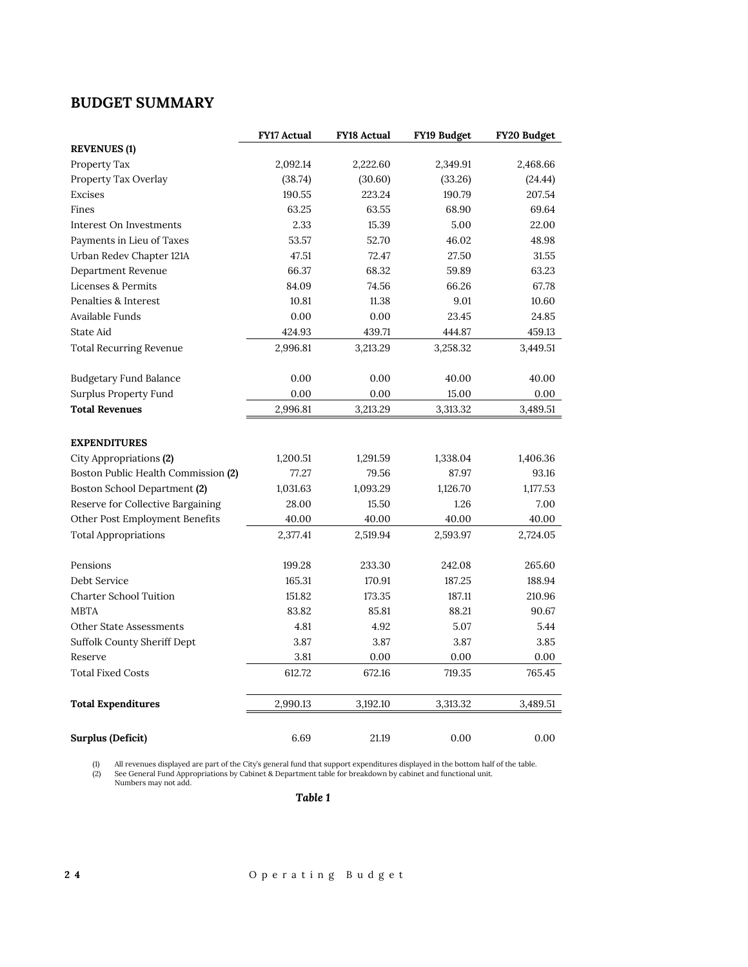# **BUDGET SUMMARY**

|                                     | <b>FY17 Actual</b> | <b>FY18 Actual</b> | FY19 Budget | FY20 Budget |
|-------------------------------------|--------------------|--------------------|-------------|-------------|
| <b>REVENUES (1)</b>                 |                    |                    |             |             |
| Property Tax                        | 2,092.14           | 2,222.60           | 2,349.91    | 2,468.66    |
| Property Tax Overlay                | (38.74)            | (30.60)            | (33.26)     | (24.44)     |
| Excises                             | 190.55             | 223.24             | 190.79      | 207.54      |
| Fines                               | 63.25              | 63.55              | 68.90       | 69.64       |
| Interest On Investments             | 2.33               | 15.39              | 5.00        | 22.00       |
| Payments in Lieu of Taxes           | 53.57              | 52.70              | 46.02       | 48.98       |
| Urban Redev Chapter 121A            | 47.51              | 72.47              | 27.50       | 31.55       |
| Department Revenue                  | 66.37              | 68.32              | 59.89       | 63.23       |
| Licenses & Permits                  | 84.09              | 74.56              | 66.26       | 67.78       |
| Penalties & Interest                | 10.81              | 11.38              | 9.01        | 10.60       |
| Available Funds                     | 0.00               | 0.00               | 23.45       | 24.85       |
| State Aid                           | 424.93             | 439.71             | 444.87      | 459.13      |
| <b>Total Recurring Revenue</b>      | 2,996.81           | 3,213.29           | 3,258.32    | 3,449.51    |
|                                     |                    |                    |             |             |
| <b>Budgetary Fund Balance</b>       | 0.00               | 0.00               | 40.00       | 40.00       |
| Surplus Property Fund               | 0.00               | 0.00               | 15.00       | 0.00        |
| <b>Total Revenues</b>               | 2,996.81           | 3,213.29           | 3,313.32    | 3,489.51    |
|                                     |                    |                    |             |             |
| <b>EXPENDITURES</b>                 |                    |                    |             |             |
| City Appropriations (2)             | 1,200.51           | 1,291.59           | 1,338.04    | 1,406.36    |
| Boston Public Health Commission (2) | 77.27              | 79.56              | 87.97       | 93.16       |
| Boston School Department (2)        | 1,031.63           | 1,093.29           | 1,126.70    | 1,177.53    |
| Reserve for Collective Bargaining   | 28.00              | 15.50              | 1.26        | 7.00        |
| Other Post Employment Benefits      | 40.00              | 40.00              | 40.00       | 40.00       |
| <b>Total Appropriations</b>         | 2,377.41           | 2,519.94           | 2,593.97    | 2,724.05    |
|                                     |                    |                    |             |             |
| Pensions                            | 199.28             | 233.30             | 242.08      | 265.60      |
| Debt Service                        | 165.31             | 170.91             | 187.25      | 188.94      |
| <b>Charter School Tuition</b>       | 151.82             | 173.35             | 187.11      | 210.96      |
| <b>MBTA</b>                         | 83.82              | 85.81              | 88.21       | 90.67       |
| Other State Assessments             | 4.81               | 4.92               | 5.07        | 5.44        |
| <b>Suffolk County Sheriff Dept</b>  | 3.87               | 3.87               | 3.87        | 3.85        |
| Reserve                             | 3.81               | 0.00               | 0.00        | 0.00        |
| <b>Total Fixed Costs</b>            | 612.72             | 672.16             | 719.35      | 765.45      |
| <b>Total Expenditures</b>           | 2,990.13           | 3,192.10           | 3,313.32    | 3,489.51    |
|                                     |                    |                    |             |             |
| <b>Surplus (Deficit)</b>            | 6.69               | 21.19              | 0.00        | 0.00        |

(1) All revenues displayed are part of the City's general fund that support expenditures displayed in the bottom half of the table.<br>(2) See General Fund Appropriations by Cabinet & Department table for breakdown by cabinet

*Table 1*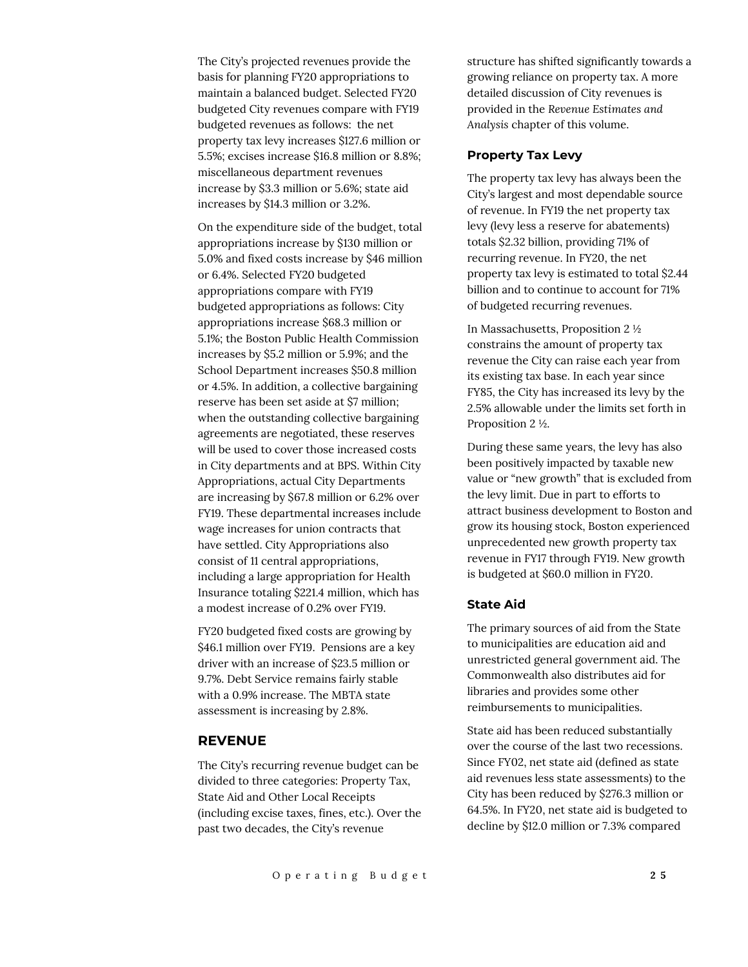The City's projected revenues provide the basis for planning FY20 appropriations to maintain a balanced budget. Selected FY20 budgeted City revenues compare with FY19 budgeted revenues as follows: the net property tax levy increases \$127.6 million or 5.5%; excises increase \$16.8 million or 8.8%; miscellaneous department revenues increase by \$3.3 million or 5.6%; state aid increases by \$14.3 million or 3.2%.

On the expenditure side of the budget, total appropriations increase by \$130 million or 5.0% and fixed costs increase by \$46 million or 6.4%. Selected FY20 budgeted appropriations compare with FY19 budgeted appropriations as follows: City appropriations increase \$68.3 million or 5.1%; the Boston Public Health Commission increases by \$5.2 million or 5.9%; and the School Department increases \$50.8 million or 4.5%. In addition, a collective bargaining reserve has been set aside at \$7 million; when the outstanding collective bargaining agreements are negotiated, these reserves will be used to cover those increased costs in City departments and at BPS. Within City Appropriations, actual City Departments are increasing by \$67.8 million or 6.2% over FY19. These departmental increases include wage increases for union contracts that have settled. City Appropriations also consist of 11 central appropriations, including a large appropriation for Health Insurance totaling \$221.4 million, which has a modest increase of 0.2% over FY19.

FY20 budgeted fixed costs are growing by \$46.1 million over FY19. Pensions are a key driver with an increase of \$23.5 million or 9.7%. Debt Service remains fairly stable with a 0.9% increase. The MBTA state assessment is increasing by 2.8%.

#### **REVENUE**

The City's recurring revenue budget can be divided to three categories: Property Tax, State Aid and Other Local Receipts (including excise taxes, fines, etc.). Over the past two decades, the City's revenue

structure has shifted significantly towards a growing reliance on property tax. A more detailed discussion of City revenues is provided in the *Revenue Estimates and Analysis* chapter of this volume.

# **Property Tax Levy**

The property tax levy has always been the City's largest and most dependable source of revenue. In FY19 the net property tax levy (levy less a reserve for abatements) totals \$2.32 billion, providing 71% of recurring revenue. In FY20, the net property tax levy is estimated to total \$2.44 billion and to continue to account for 71% of budgeted recurring revenues.

In Massachusetts, Proposition 2 ½ constrains the amount of property tax revenue the City can raise each year from its existing tax base. In each year since FY85, the City has increased its levy by the 2.5% allowable under the limits set forth in Proposition 2 ½.

During these same years, the levy has also been positively impacted by taxable new value or "new growth" that is excluded from the levy limit. Due in part to efforts to attract business development to Boston and grow its housing stock, Boston experienced unprecedented new growth property tax revenue in FY17 through FY19. New growth is budgeted at \$60.0 million in FY20.

# **State Aid**

The primary sources of aid from the State to municipalities are education aid and unrestricted general government aid. The Commonwealth also distributes aid for libraries and provides some other reimbursements to municipalities.

State aid has been reduced substantially over the course of the last two recessions. Since FY02, net state aid (defined as state aid revenues less state assessments) to the City has been reduced by \$276.3 million or 64.5%. In FY20, net state aid is budgeted to decline by \$12.0 million or 7.3% compared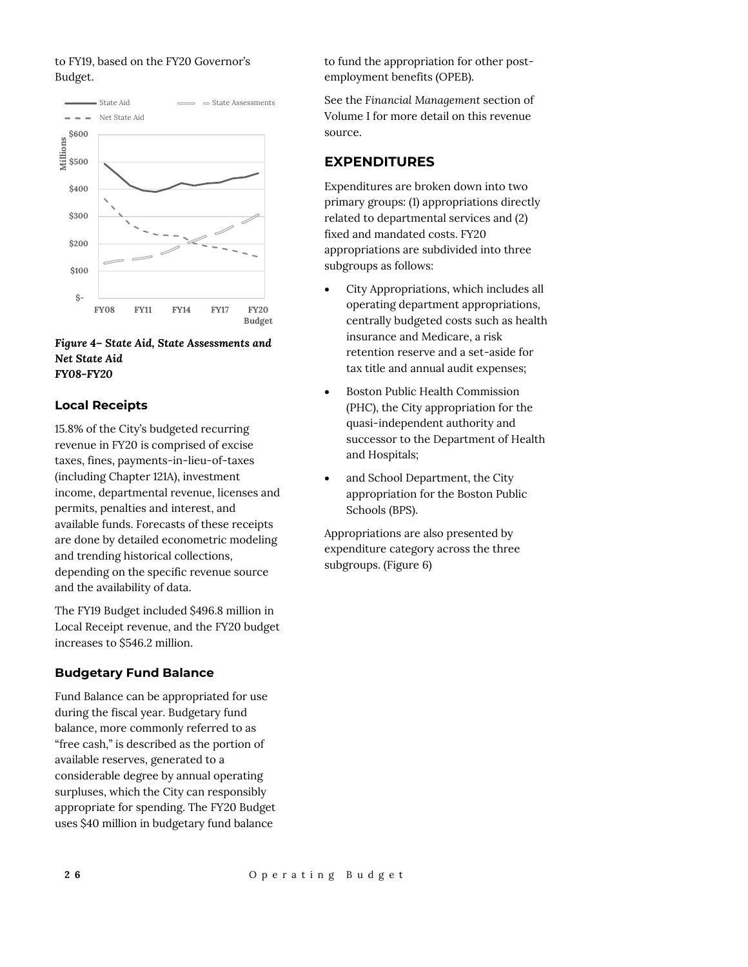# to FY19, based on the FY20 Governor's Budget.



#### *Figure 4– State Aid, State Assessments and Net State Aid FY08-FY20*

# **Local Receipts**

15.8% of the City's budgeted recurring revenue in FY20 is comprised of excise taxes, fines, payments-in-lieu-of-taxes (including Chapter 121A), investment income, departmental revenue, licenses and permits, penalties and interest, and available funds. Forecasts of these receipts are done by detailed econometric modeling and trending historical collections, depending on the specific revenue source and the availability of data.

The FY19 Budget included \$496.8 million in Local Receipt revenue, and the FY20 budget increases to \$546.2 million.

## **Budgetary Fund Balance**

Fund Balance can be appropriated for use during the fiscal year. Budgetary fund balance, more commonly referred to as "free cash," is described as the portion of available reserves, generated to a considerable degree by annual operating surpluses, which the City can responsibly appropriate for spending. The FY20 Budget uses \$40 million in budgetary fund balance

to fund the appropriation for other postemployment benefits (OPEB).

See the *Financial Management* section of Volume I for more detail on this revenue source.

# **EXPENDITURES**

Expenditures are broken down into two primary groups: (1) appropriations directly related to departmental services and (2) fixed and mandated costs. FY20 appropriations are subdivided into three subgroups as follows:

- City Appropriations, which includes all operating department appropriations, centrally budgeted costs such as health insurance and Medicare, a risk retention reserve and a set-aside for tax title and annual audit expenses;
- Boston Public Health Commission (PHC), the City appropriation for the quasi-independent authority and successor to the Department of Health and Hospitals;
- and School Department, the City appropriation for the Boston Public Schools (BPS).

Appropriations are also presented by expenditure category across the three subgroups. (Figure 6)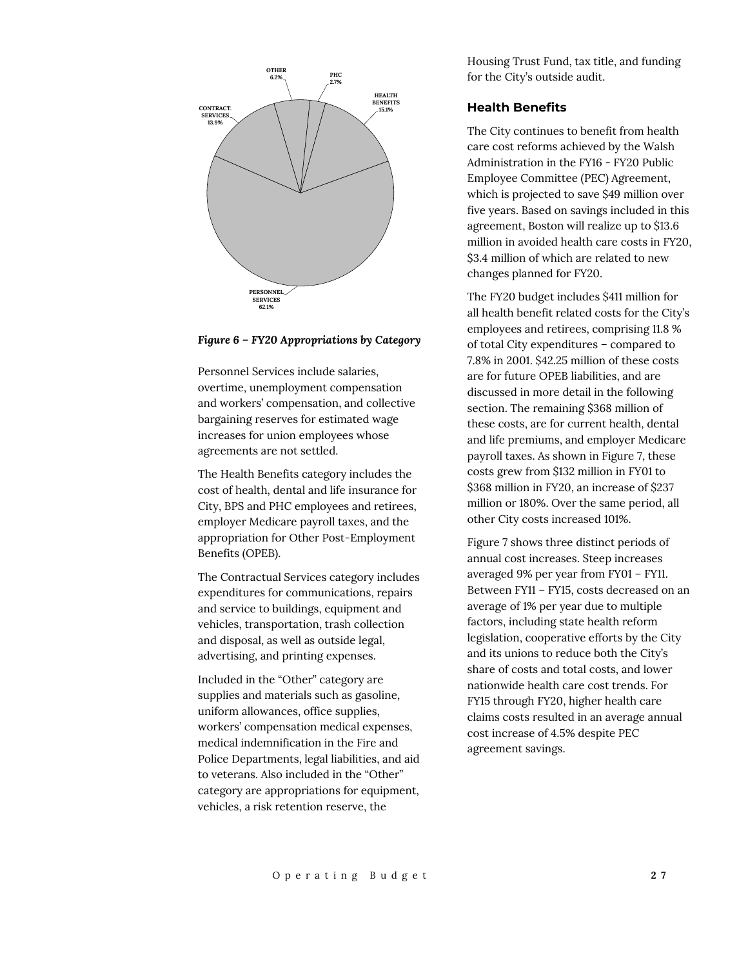

#### *Figure 6 – FY20 Appropriations by Category*

Personnel Services include salaries, overtime, unemployment compensation and workers' compensation, and collective bargaining reserves for estimated wage increases for union employees whose agreements are not settled.

The Health Benefits category includes the cost of health, dental and life insurance for City, BPS and PHC employees and retirees, employer Medicare payroll taxes, and the appropriation for Other Post-Employment Benefits (OPEB).

The Contractual Services category includes expenditures for communications, repairs and service to buildings, equipment and vehicles, transportation, trash collection and disposal, as well as outside legal, advertising, and printing expenses.

Included in the "Other" category are supplies and materials such as gasoline, uniform allowances, office supplies, workers' compensation medical expenses, medical indemnification in the Fire and Police Departments, legal liabilities, and aid to veterans. Also included in the "Other" category are appropriations for equipment, vehicles, a risk retention reserve, the

Housing Trust Fund, tax title, and funding for the City's outside audit.

## **Health Benefits**

The City continues to benefit from health care cost reforms achieved by the Walsh Administration in the FY16 - FY20 Public Employee Committee (PEC) Agreement, which is projected to save \$49 million over five years. Based on savings included in this agreement, Boston will realize up to \$13.6 million in avoided health care costs in FY20, \$3.4 million of which are related to new changes planned for FY20.

The FY20 budget includes \$411 million for all health benefit related costs for the City's employees and retirees, comprising 11.8 % of total City expenditures – compared to 7.8% in 2001. \$42.25 million of these costs are for future OPEB liabilities, and are discussed in more detail in the following section. The remaining \$368 million of these costs, are for current health, dental and life premiums, and employer Medicare payroll taxes. As shown in Figure 7, these costs grew from \$132 million in FY01 to \$368 million in FY20, an increase of \$237 million or 180%. Over the same period, all other City costs increased 101%.

Figure 7 shows three distinct periods of annual cost increases. Steep increases averaged 9% per year from FY01 – FY11. Between FY11 – FY15, costs decreased on an average of 1% per year due to multiple factors, including state health reform legislation, cooperative efforts by the City and its unions to reduce both the City's share of costs and total costs, and lower nationwide health care cost trends. For FY15 through FY20, higher health care claims costs resulted in an average annual cost increase of 4.5% despite PEC agreement savings.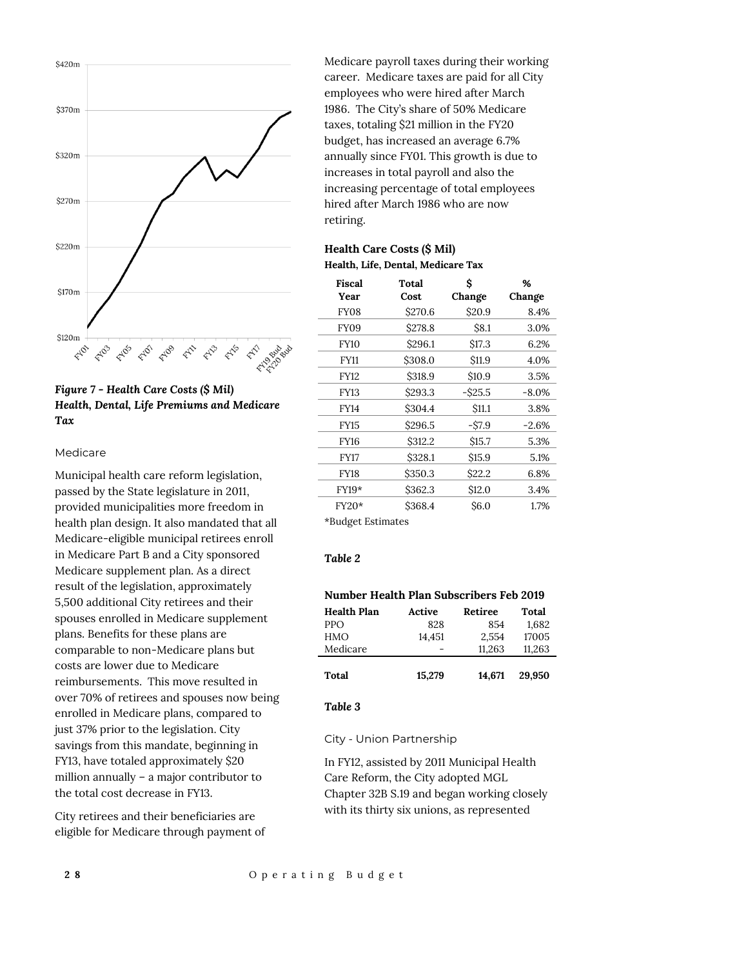

# *Figure 7 - Health Care Costs (\$ Mil) Health, Dental, Life Premiums and Medicare Tax*

#### Medicare

Municipal health care reform legislation, passed by the State legislature in 2011, provided municipalities more freedom in health plan design. It also mandated that all Medicare-eligible municipal retirees enroll in Medicare Part B and a City sponsored Medicare supplement plan. As a direct result of the legislation, approximately 5,500 additional City retirees and their spouses enrolled in Medicare supplement plans. Benefits for these plans are comparable to non-Medicare plans but costs are lower due to Medicare reimbursements. This move resulted in over 70% of retirees and spouses now being enrolled in Medicare plans, compared to just 37% prior to the legislation. City savings from this mandate, beginning in FY13, have totaled approximately \$20 million annually – a major contributor to the total cost decrease in FY13.

City retirees and their beneficiaries are eligible for Medicare through payment of Medicare payroll taxes during their working career. Medicare taxes are paid for all City employees who were hired after March 1986. The City's share of 50% Medicare taxes, totaling \$21 million in the FY20 budget, has increased an average 6.7% annually since FY01. This growth is due to increases in total payroll and also the increasing percentage of total employees hired after March 1986 who are now retiring.

# **Health Care Costs (\$ Mil) Health, Life, Dental, Medicare Tax**

| <b>Fiscal</b><br>Year | Total<br>Cost | Ś<br>Change       | %<br>Change |
|-----------------------|---------------|-------------------|-------------|
| FY <sub>08</sub>      | \$270.6       | \$20.9            | 8.4%        |
| FY09                  | \$278.8       | S8.1              | 3.0%        |
| <b>FY10</b>           | \$296.1       | \$17.3            | 6.2%        |
| <b>FY11</b>           | \$308.0       | \$11.9            | 4.0%        |
| <b>FY12</b>           | \$318.9       | \$10.9            | 3.5%        |
| <b>FY13</b>           | \$293.3       | -\$25.5           | $-8.0\%$    |
| <b>FY14</b>           | \$304.4       | S <sub>11.1</sub> | 3.8%        |
| <b>FY15</b>           | \$296.5       | $-$ \$7.9         | $-2.6%$     |
| <b>FY16</b>           | \$312.2       | S <sub>15.7</sub> | 5.3%        |
| <b>FY17</b>           | \$328.1       | \$15.9            | 5.1%        |
| <b>FY18</b>           | \$350.3       | S <sub>22.2</sub> | 6.8%        |
| $FY19*$               | \$362.3       | \$12.0            | 3.4%        |
| FY20*                 | \$368.4       | \$6.0             | 1.7%        |
| *Budget Estimates     |               |                   |             |

# *Table 2*

| Number Health Plan Subscribers Feb 2019 |        |         |        |  |  |
|-----------------------------------------|--------|---------|--------|--|--|
| <b>Health Plan</b>                      | Active | Retiree | Total  |  |  |
| <b>PPO</b>                              | 828    | 854     | 1,682  |  |  |
| HMO                                     | 14,451 | 2,554   | 17005  |  |  |
| Medicare                                |        | 11,263  | 11,263 |  |  |
|                                         |        |         |        |  |  |
| Total                                   | 15,279 | 14.671  | 29,950 |  |  |

#### *Table 3*

City - Union Partnership

In FY12, assisted by 2011 Municipal Health Care Reform, the City adopted MGL Chapter 32B S.19 and began working closely with its thirty six unions, as represented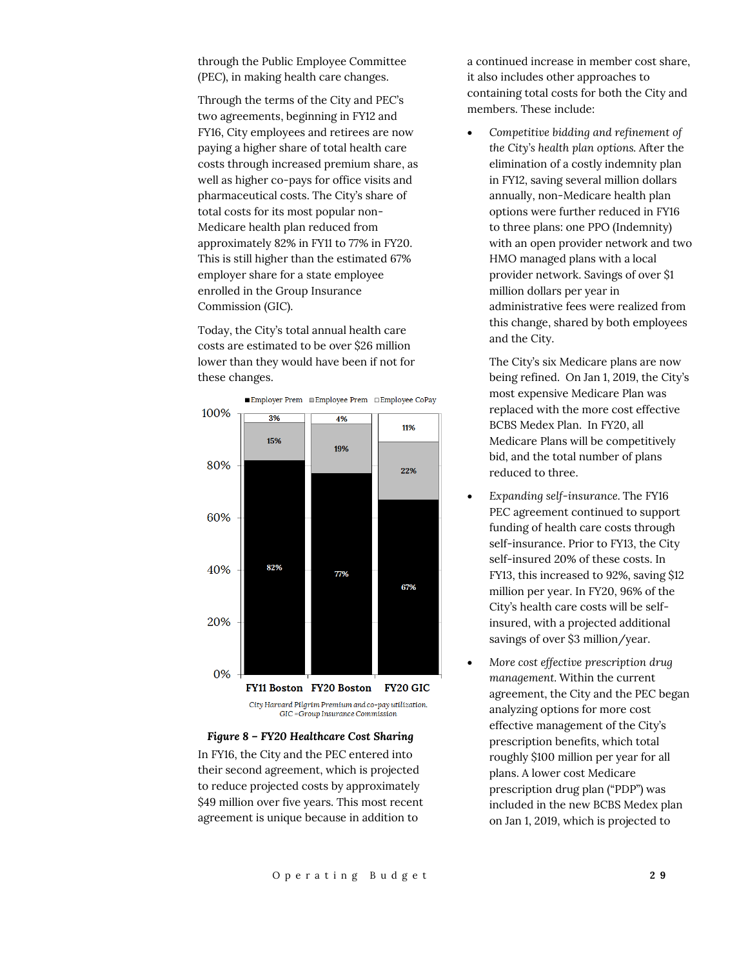through the Public Employee Committee (PEC), in making health care changes.

Through the terms of the City and PEC's two agreements, beginning in FY12 and FY16, City employees and retirees are now paying a higher share of total health care costs through increased premium share, as well as higher co-pays for office visits and pharmaceutical costs. The City's share of total costs for its most popular non-Medicare health plan reduced from approximately 82% in FY11 to 77% in FY20. This is still higher than the estimated 67% employer share for a state employee enrolled in the Group Insurance Commission (GIC).

Today, the City's total annual health care costs are estimated to be over \$26 million lower than they would have been if not for these changes.





#### *Figure 8 – FY20 Healthcare Cost Sharing*

In FY16, the City and the PEC entered into their second agreement, which is projected to reduce projected costs by approximately \$49 million over five years. This most recent agreement is unique because in addition to

a continued increase in member cost share, it also includes other approaches to containing total costs for both the City and members. These include:

 *Competitive bidding and refinement of the City's health plan options.* After the elimination of a costly indemnity plan in FY12, saving several million dollars annually, non-Medicare health plan options were further reduced in FY16 to three plans: one PPO (Indemnity) with an open provider network and two HMO managed plans with a local provider network. Savings of over \$1 million dollars per year in administrative fees were realized from this change, shared by both employees and the City.

The City's six Medicare plans are now being refined. On Jan 1, 2019, the City's most expensive Medicare Plan was replaced with the more cost effective BCBS Medex Plan. In FY20, all Medicare Plans will be competitively bid, and the total number of plans reduced to three.

- *Expanding self-insurance.* The FY16 PEC agreement continued to support funding of health care costs through self-insurance. Prior to FY13, the City self-insured 20% of these costs. In FY13, this increased to 92%, saving \$12 million per year. In FY20, 96% of the City's health care costs will be selfinsured, with a projected additional savings of over \$3 million/year.
- *More cost effective prescription drug management.* Within the current agreement, the City and the PEC began analyzing options for more cost effective management of the City's prescription benefits, which total roughly \$100 million per year for all plans. A lower cost Medicare prescription drug plan ("PDP") was included in the new BCBS Medex plan on Jan 1, 2019, which is projected to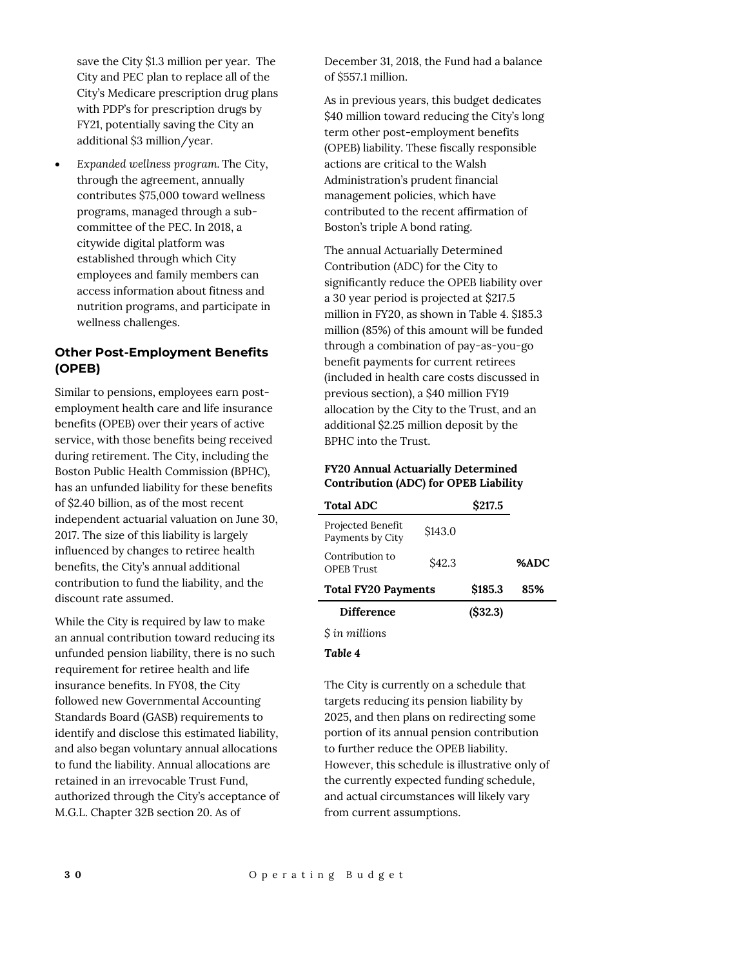save the City \$1.3 million per year. The City and PEC plan to replace all of the City's Medicare prescription drug plans with PDP's for prescription drugs by FY21, potentially saving the City an additional \$3 million/year.

 *Expanded wellness program.* The City, through the agreement, annually contributes \$75,000 toward wellness programs, managed through a subcommittee of the PEC. In 2018, a citywide digital platform was established through which City employees and family members can access information about fitness and nutrition programs, and participate in wellness challenges.

# **Other Post-Employment Benefits (OPEB)**

Similar to pensions, employees earn postemployment health care and life insurance benefits (OPEB) over their years of active service, with those benefits being received during retirement. The City, including the Boston Public Health Commission (BPHC), has an unfunded liability for these benefits of \$2.40 billion, as of the most recent independent actuarial valuation on June 30, 2017. The size of this liability is largely influenced by changes to retiree health benefits, the City's annual additional contribution to fund the liability, and the discount rate assumed.

While the City is required by law to make an annual contribution toward reducing its unfunded pension liability, there is no such requirement for retiree health and life insurance benefits. In FY08, the City followed new Governmental Accounting Standards Board (GASB) requirements to identify and disclose this estimated liability, and also began voluntary annual allocations to fund the liability. Annual allocations are retained in an irrevocable Trust Fund, authorized through the City's acceptance of M.G.L. Chapter 32B section 20. As of

December 31, 2018, the Fund had a balance of \$557.1 million.

As in previous years, this budget dedicates \$40 million toward reducing the City's long term other post-employment benefits (OPEB) liability. These fiscally responsible actions are critical to the Walsh Administration's prudent financial management policies, which have contributed to the recent affirmation of Boston's triple A bond rating.

The annual Actuarially Determined Contribution (ADC) for the City to significantly reduce the OPEB liability over a 30 year period is projected at \$217.5 million in FY20, as shown in Table 4. \$185.3 million (85%) of this amount will be funded through a combination of pay-as-you-go benefit payments for current retirees (included in health care costs discussed in previous section), a \$40 million FY19 allocation by the City to the Trust, and an additional \$2.25 million deposit by the BPHC into the Trust.

#### **FY20 Annual Actuarially Determined Contribution (ADC) for OPEB Liability**

| <b>Total ADC</b>                      |                    | \$217.5 |      |
|---------------------------------------|--------------------|---------|------|
| Projected Benefit<br>Payments by City | S <sub>143.0</sub> |         |      |
| Contribution to<br><b>OPEB</b> Trust  | \$42.3             |         | %ADC |
| <b>Total FY20 Payments</b>            |                    | \$185.3 | 85%  |
| <b>Difference</b>                     |                    | (S32.3) |      |

*\$ in millions*

#### *Table 4*

The City is currently on a schedule that targets reducing its pension liability by 2025, and then plans on redirecting some portion of its annual pension contribution to further reduce the OPEB liability. However, this schedule is illustrative only of the currently expected funding schedule, and actual circumstances will likely vary from current assumptions.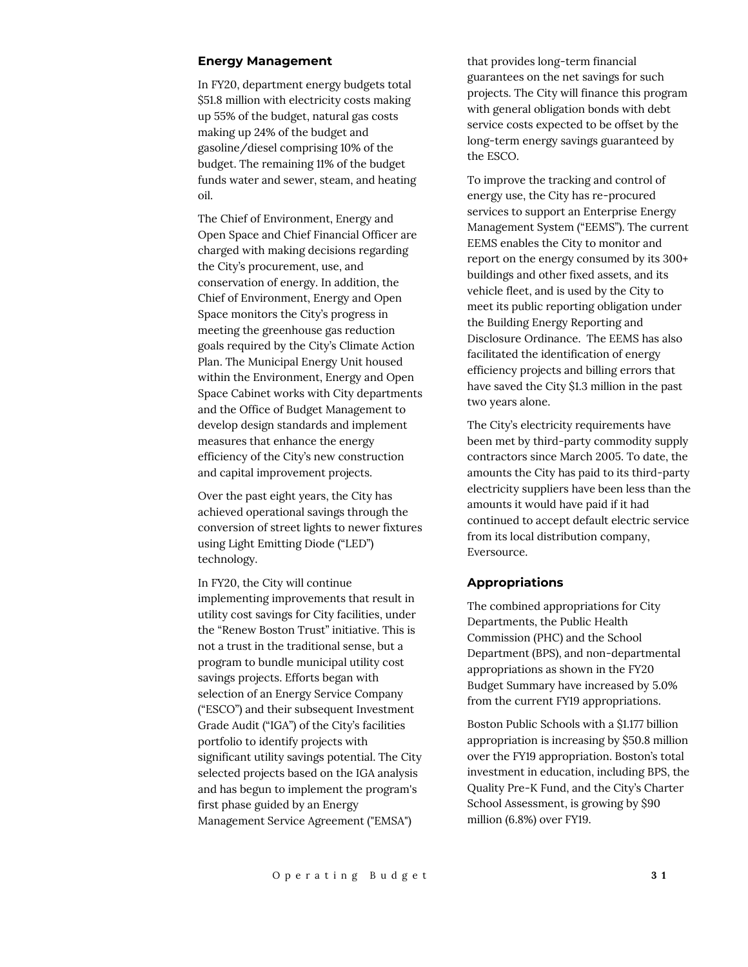#### **Energy Management**

In FY20, department energy budgets total \$51.8 million with electricity costs making up 55% of the budget, natural gas costs making up 24% of the budget and gasoline/diesel comprising 10% of the budget. The remaining 11% of the budget funds water and sewer, steam, and heating oil.

The Chief of Environment, Energy and Open Space and Chief Financial Officer are charged with making decisions regarding the City's procurement, use, and conservation of energy. In addition, the Chief of Environment, Energy and Open Space monitors the City's progress in meeting the greenhouse gas reduction goals required by the City's Climate Action Plan. The Municipal Energy Unit housed within the Environment, Energy and Open Space Cabinet works with City departments and the Office of Budget Management to develop design standards and implement measures that enhance the energy efficiency of the City's new construction and capital improvement projects.

Over the past eight years, the City has achieved operational savings through the conversion of street lights to newer fixtures using Light Emitting Diode ("LED") technology.

In FY20, the City will continue implementing improvements that result in utility cost savings for City facilities, under the "Renew Boston Trust" initiative. This is not a trust in the traditional sense, but a program to bundle municipal utility cost savings projects. Efforts began with selection of an Energy Service Company ("ESCO") and their subsequent Investment Grade Audit ("IGA") of the City's facilities portfolio to identify projects with significant utility savings potential. The City selected projects based on the IGA analysis and has begun to implement the program's first phase guided by an Energy Management Service Agreement ("EMSA")

that provides long-term financial guarantees on the net savings for such projects. The City will finance this program with general obligation bonds with debt service costs expected to be offset by the long-term energy savings guaranteed by the ESCO.

To improve the tracking and control of energy use, the City has re-procured services to support an Enterprise Energy Management System ("EEMS"). The current EEMS enables the City to monitor and report on the energy consumed by its 300+ buildings and other fixed assets, and its vehicle fleet, and is used by the City to meet its public reporting obligation under the Building Energy Reporting and Disclosure Ordinance. The EEMS has also facilitated the identification of energy efficiency projects and billing errors that have saved the City \$1.3 million in the past two years alone.

The City's electricity requirements have been met by third-party commodity supply contractors since March 2005. To date, the amounts the City has paid to its third-party electricity suppliers have been less than the amounts it would have paid if it had continued to accept default electric service from its local distribution company, Eversource.

#### **Appropriations**

The combined appropriations for City Departments, the Public Health Commission (PHC) and the School Department (BPS), and non-departmental appropriations as shown in the FY20 Budget Summary have increased by 5.0% from the current FY19 appropriations.

Boston Public Schools with a \$1.177 billion appropriation is increasing by \$50.8 million over the FY19 appropriation. Boston's total investment in education, including BPS, the Quality Pre-K Fund, and the City's Charter School Assessment, is growing by \$90 million (6.8%) over FY19.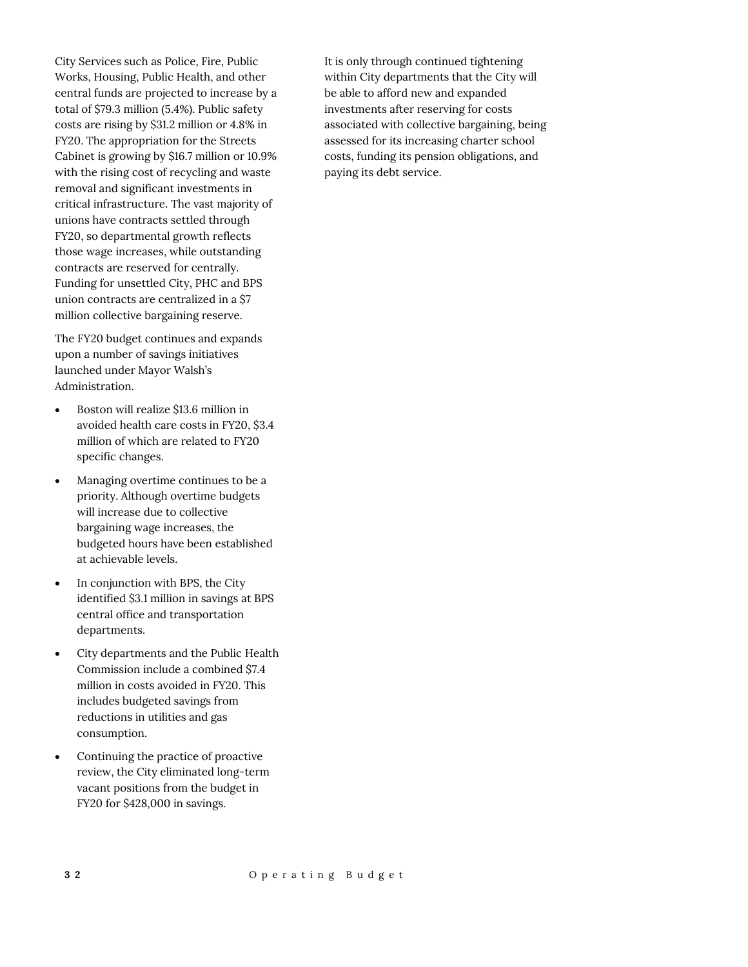City Services such as Police, Fire, Public Works, Housing, Public Health, and other central funds are projected to increase by a total of \$79.3 million (5.4%). Public safety costs are rising by \$31.2 million or 4.8% in FY20. The appropriation for the Streets Cabinet is growing by \$16.7 million or 10.9% with the rising cost of recycling and waste removal and significant investments in critical infrastructure. The vast majority of unions have contracts settled through FY20, so departmental growth reflects those wage increases, while outstanding contracts are reserved for centrally. Funding for unsettled City, PHC and BPS union contracts are centralized in a \$7 million collective bargaining reserve.

The FY20 budget continues and expands upon a number of savings initiatives launched under Mayor Walsh's Administration.

- Boston will realize \$13.6 million in avoided health care costs in FY20, \$3.4 million of which are related to FY20 specific changes.
- Managing overtime continues to be a priority. Although overtime budgets will increase due to collective bargaining wage increases, the budgeted hours have been established at achievable levels.
- In conjunction with BPS, the City identified \$3.1 million in savings at BPS central office and transportation departments.
- City departments and the Public Health Commission include a combined \$7.4 million in costs avoided in FY20. This includes budgeted savings from reductions in utilities and gas consumption.
- Continuing the practice of proactive review, the City eliminated long-term vacant positions from the budget in FY20 for \$428,000 in savings.

It is only through continued tightening within City departments that the City will be able to afford new and expanded investments after reserving for costs associated with collective bargaining, being assessed for its increasing charter school costs, funding its pension obligations, and paying its debt service.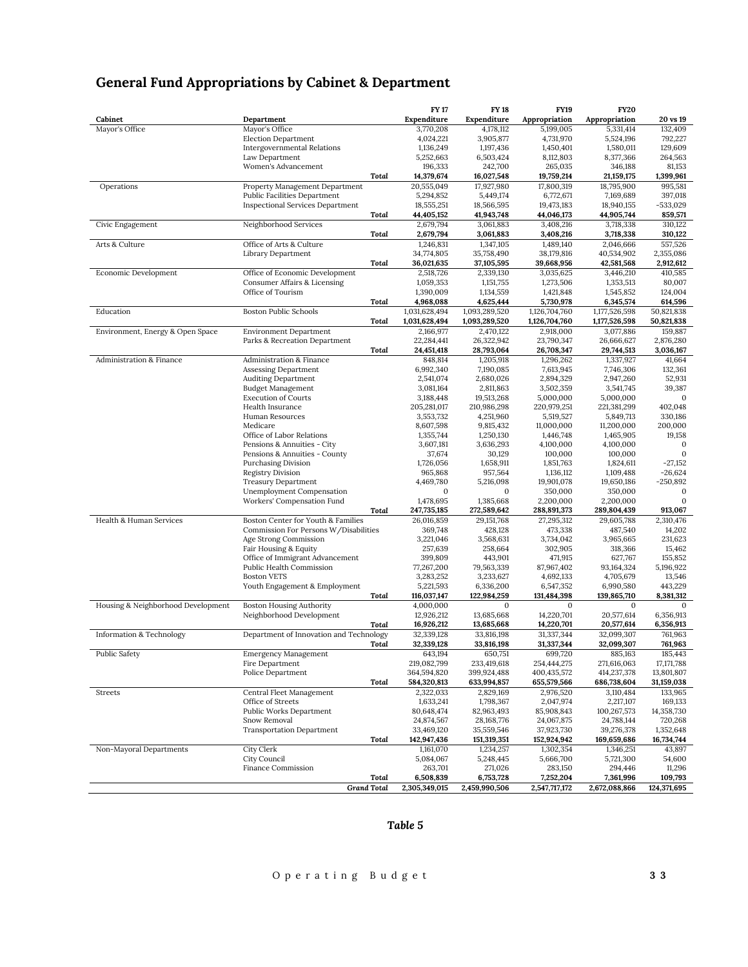|  | <b>General Fund Appropriations by Cabinet &amp; Department</b> |  |  |
|--|----------------------------------------------------------------|--|--|
|--|----------------------------------------------------------------|--|--|

|                                    |                                                                                |       | <b>FY17</b>                | <b>FY18</b>                | <b>FY19</b>                | <b>FY20</b>                |                              |
|------------------------------------|--------------------------------------------------------------------------------|-------|----------------------------|----------------------------|----------------------------|----------------------------|------------------------------|
| Cabinet                            | Department                                                                     |       | Expenditure                | Expenditure                | Appropriation              | Appropriation              | 20 vs 19                     |
| Mayor's Office                     | Mayor's Office<br><b>Election Department</b>                                   |       | 3,770,208<br>4,024,221     | 4,178,112<br>3,905,877     | 5,199,005<br>4,731,970     | 5,331,414<br>5,524,196     | 132,409<br>792,227           |
|                                    | <b>Intergovernmental Relations</b>                                             |       | 1,136,249                  | 1,197,436                  | 1,450,401                  | 1,580,011                  | 129,609                      |
|                                    | Law Department                                                                 |       | 5,252,663                  | 6,503,424                  | 8,112,803                  | 8,377,366                  | 264,563                      |
|                                    | Women's Advancement                                                            |       | 196,333                    | 242,700                    | 265,035                    | 346,188                    | 81,153                       |
|                                    |                                                                                | Total | 14,379,674                 | 16,027,548                 | 19,759,214                 | 21,159,175                 | 1,399,961                    |
| Operations                         | Property Management Department                                                 |       | 20,555,049                 | 17,927,980                 | 17,800,319                 | 18,795,900                 | 995,581                      |
|                                    | <b>Public Facilities Department</b><br><b>Inspectional Services Department</b> |       | 5,294,852<br>18,555,251    | 5,449,174<br>18,566,595    | 6,772,671<br>19,473,183    | 7,169,689<br>18,940,155    | 397,018<br>-533,029          |
|                                    |                                                                                | Total | 44,405,152                 | 41,943,748                 | 44,046,173                 | 44,905,744                 | 859,571                      |
| Civic Engagement                   | Neighborhood Services                                                          |       | 2,679,794                  | 3,061,883                  | 3,408,216                  | 3,718,338                  | 310,122                      |
|                                    |                                                                                | Total | 2,679,794                  | 3,061,883                  | 3,408,216                  | 3,718,338                  | 310,122                      |
| Arts & Culture                     | Office of Arts & Culture                                                       |       | 1,246,831                  | 1.347.105                  | 1,489,140                  | 2,046,666                  | 557,526                      |
|                                    | Library Department                                                             |       | 34,774,805                 | 35,758,490                 | 38,179,816                 | 40,534,902                 | 2,355,086                    |
|                                    |                                                                                | Total | 36,021,635                 | 37,105,595                 | 39,668,956                 | 42,581,568                 | 2,912,612                    |
| Economic Development               | Office of Economic Development<br>Consumer Affairs & Licensing                 |       | 2,518,726<br>1,059,353     | 2,339,130<br>1,151,755     | 3,035,625<br>1,273,506     | 3,446,210<br>1,353,513     | 410,585<br>80,007            |
|                                    | Office of Tourism                                                              |       | 1,390,009                  | 1,134,559                  | 1,421,848                  | 1,545,852                  | 124,004                      |
|                                    |                                                                                | Total | 4,968,088                  | 4,625,444                  | 5,730,978                  | 6,345,574                  | 614,596                      |
| Education                          | <b>Boston Public Schools</b>                                                   |       | 1,031,628,494              | 1,093,289,520              | 1,126,704,760              | 1,177,526,598              | 50,821,838                   |
|                                    |                                                                                | Total | 1,031,628,494              | 1,093,289,520              | 1,126,704,760              | 1,177,526,598              | 50,821,838                   |
| Environment, Energy & Open Space   | <b>Environment Department</b>                                                  |       | 2,166,977                  | 2,470,122                  | 2,918,000                  | 3,077,886                  | 159,887                      |
|                                    | Parks & Recreation Department                                                  |       | 22,284,441                 | 26,322,942                 | 23,790,347                 | 26,666,627                 | 2,876,280                    |
| Administration & Finance           | <b>Administration &amp; Finance</b>                                            | Total | 24,451,418<br>848,814      | 28,793,064<br>1,205,918    | 26,708,347                 | 29,744,513<br>1,337,927    | 3,036,167<br>41,664          |
|                                    | <b>Assessing Department</b>                                                    |       | 6,992,340                  | 7,190,085                  | 1,296,262<br>7,613,945     | 7,746,306                  | 132,361                      |
|                                    | <b>Auditing Department</b>                                                     |       | 2,541,074                  | 2,680,026                  | 2,894,329                  | 2,947,260                  | 52,931                       |
|                                    | <b>Budget Management</b>                                                       |       | 3,081,164                  | 2,811,863                  | 3,502,359                  | 3,541,745                  | 39,387                       |
|                                    | <b>Execution of Courts</b>                                                     |       | 3,188,448                  | 19,513,268                 | 5,000,000                  | 5,000,000                  | $\mathbf{0}$                 |
|                                    | Health Insurance                                                               |       | 205,281,017                | 210,986,298                | 220,979,251                | 221,381,299                | 402,048                      |
|                                    | Human Resources                                                                |       | 3,553,732                  | 4,251,960                  | 5,519,527                  | 5,849,713                  | 330,186                      |
|                                    | Medicare<br>Office of Labor Relations                                          |       | 8,607,598<br>1,355,744     | 9,815,432<br>1,250,130     | 11,000,000<br>1,446,748    | 11,200,000<br>1,465,905    | 200,000<br>19,158            |
|                                    | Pensions & Annuities - City                                                    |       | 3,607,181                  | 3,636,293                  | 4,100,000                  | 4,100,000                  | $\mathbf{0}$                 |
|                                    | Pensions & Annuities - County                                                  |       | 37,674                     | 30,129                     | 100,000                    | 100,000                    | $\mathbf{0}$                 |
|                                    | Purchasing Division                                                            |       | 1,726,056                  | 1,658,911                  | 1,851,763                  | 1,824,611                  | $-27,152$                    |
|                                    | <b>Registry Division</b>                                                       |       | 965,868                    | 957,564                    | 1,136,112                  | 1,109,488                  | $-26,624$                    |
|                                    | <b>Treasury Department</b>                                                     |       | 4,469,780                  | 5,216,098<br>$\Omega$      | 19,901,078                 | 19,650,186                 | $-250,892$                   |
|                                    | Unemployment Compensation<br>Workers' Compensation Fund                        |       | $\mathbf{0}$<br>1,478,695  | 1,385,668                  | 350,000<br>2,200,000       | 350,000<br>2,200,000       | $\mathbf{0}$<br>$\mathbf{0}$ |
|                                    |                                                                                | Total | 247,735,185                | 272,589,642                | 288,891,373                | 289,804,439                | 913,067                      |
| Health & Human Services            | Boston Center for Youth & Families                                             |       | 26,016,859                 | 29,151,768                 | 27,295,312                 | 29,605,788                 | 2,310,476                    |
|                                    | Commission For Persons W/Disabilities                                          |       | 369,748                    | 428,128                    | 473,338                    | 487,540                    | 14,202                       |
|                                    | Age Strong Commission                                                          |       | 3,221,046                  | 3,568,631                  | 3,734,042                  | 3,965,665                  | 231,623                      |
|                                    | Fair Housing & Equity                                                          |       | 257,639                    | 258,664                    | 302,905                    | 318,366                    | 15,462                       |
|                                    | Office of Immigrant Advancement<br>Public Health Commission                    |       | 399,809<br>77,267,200      | 443,901<br>79,563,339      | 471,915<br>87,967,402      | 627,767<br>93, 164, 324    | 155,852<br>5,196,922         |
|                                    | <b>Boston VETS</b>                                                             |       | 3,283,252                  | 3,233,627                  | 4,692,133                  | 4,705,679                  | 13,546                       |
|                                    | Youth Engagement & Employment                                                  |       | 5,221,593                  | 6,336,200                  | 6,547,352                  | 6,990,580                  | 443,229                      |
|                                    |                                                                                | Total | 116,037,147                | 122,984,259                | 131,484,398                | 139,865,710                | 8,381,312                    |
| Housing & Neighborhood Development | <b>Boston Housing Authority</b>                                                |       | 4.000.000                  | $\Omega$                   | $\Omega$                   | $\Omega$                   | $\Omega$                     |
|                                    | Neighborhood Development                                                       |       | 12,926,212                 | 13,685,668                 | 14,220,701                 | 20,577,614                 | 6,356,913                    |
|                                    |                                                                                | Total | 16,926,212                 | 13,685,668                 | 14,220,701                 | 20,577,614                 | 6,356,913                    |
| Information & Technology           | Department of Innovation and Technology                                        | Total | 32,339,128<br>32,339,128   | 33,816,198<br>33,816,198   | 31,337,344<br>31,337,344   | 32.099.307<br>32,099,307   | 761,963<br>761,963           |
| <b>Public Safety</b>               | <b>Emergency Management</b>                                                    |       | 643,194                    | 650,751                    | 699,720                    | 885,163                    | 185,443                      |
|                                    | Fire Department                                                                |       | 219,082,799                | 233,419,618                | 254,444,275                | 271,616,063                | 17, 171, 788                 |
|                                    | Police Department                                                              |       | 364,594,820                | 399,924,488                | 400,435,572                | 414,237,378                | 13,801,807                   |
|                                    |                                                                                | Total | 584,320,813                | 633,994,857                | 655,579,566                | 686,738,604                | 31,159,038                   |
| Streets                            | Central Fleet Management                                                       |       | 2,322,033                  | 2,829,169                  | 2,976,520                  | 3,110,484                  | 133,965                      |
|                                    | Office of Streets<br>Public Works Department                                   |       | 1,633,241<br>80,648,474    | 1,798,367<br>82,963,493    | 2,047,974<br>85,908,843    | 2,217,107<br>100,267,573   | 169,133<br>14,358,730        |
|                                    | Snow Removal                                                                   |       | 24,874,567                 | 28, 168, 776               | 24,067,875                 | 24,788,144                 | 720,268                      |
|                                    | <b>Transportation Department</b>                                               |       | 33,469,120                 | 35,559,546                 | 37,923,730                 | 39,276,378                 | 1,352,648                    |
|                                    |                                                                                | Total | 142,947,436                | 151,319,351                | 152,924,942                | 169,659,686                | 16,734,744                   |
| Non-Mayoral Departments            | City Clerk                                                                     |       | 1,161,070                  | 1,234,257                  | 1,302,354                  | 1,346,251                  | 43,897                       |
|                                    | City Council                                                                   |       | 5,084,067                  | 5,248,445                  | 5,666,700                  | 5,721,300                  | 54,600                       |
|                                    | Finance Commission                                                             |       | 263,701                    | 271,026                    | 283,150                    | 294,446                    | 11,296                       |
|                                    | <b>Grand Total</b>                                                             | Total | 6,508,839<br>2,305,349,015 | 6,753,728<br>2,459,990,506 | 7,252,204<br>2,547,717,172 | 7,361,996<br>2,672,088,866 | 109,793<br>124,371,695       |
|                                    |                                                                                |       |                            |                            |                            |                            |                              |

# *Table 5*

# O p e r a t i n g B u d g e t **3 3**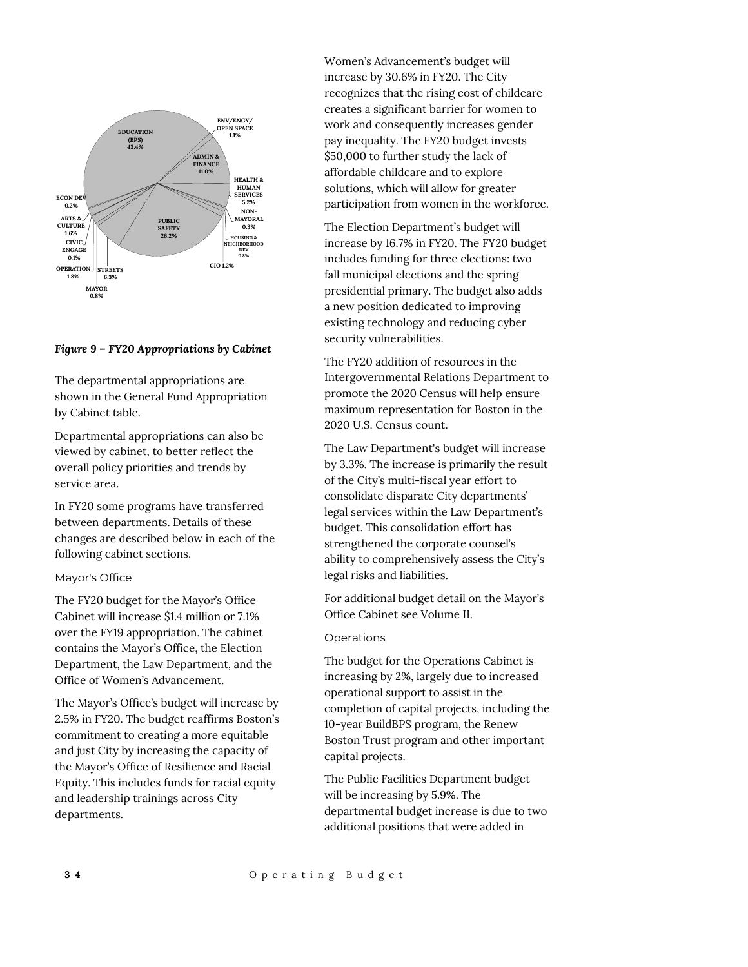

#### *Figure 9 – FY20 Appropriations by Cabinet*

The departmental appropriations are shown in the General Fund Appropriation by Cabinet table.

Departmental appropriations can also be viewed by cabinet, to better reflect the overall policy priorities and trends by service area.

In FY20 some programs have transferred between departments. Details of these changes are described below in each of the following cabinet sections.

#### Mayor's Office

The FY20 budget for the Mayor's Office Cabinet will increase \$1.4 million or 7.1% over the FY19 appropriation. The cabinet contains the Mayor's Office, the Election Department, the Law Department, and the Office of Women's Advancement.

The Mayor's Office's budget will increase by 2.5% in FY20. The budget reaffirms Boston's commitment to creating a more equitable and just City by increasing the capacity of the Mayor's Office of Resilience and Racial Equity. This includes funds for racial equity and leadership trainings across City departments.

Women's Advancement's budget will increase by 30.6% in FY20. The City recognizes that the rising cost of childcare creates a significant barrier for women to work and consequently increases gender pay inequality. The FY20 budget invests \$50,000 to further study the lack of affordable childcare and to explore solutions, which will allow for greater participation from women in the workforce.

The Election Department's budget will increase by 16.7% in FY20. The FY20 budget includes funding for three elections: two fall municipal elections and the spring presidential primary. The budget also adds a new position dedicated to improving existing technology and reducing cyber security vulnerabilities.

The FY20 addition of resources in the Intergovernmental Relations Department to promote the 2020 Census will help ensure maximum representation for Boston in the 2020 U.S. Census count.

The Law Department's budget will increase by 3.3%. The increase is primarily the result of the City's multi-fiscal year effort to consolidate disparate City departments' legal services within the Law Department's budget. This consolidation effort has strengthened the corporate counsel's ability to comprehensively assess the City's legal risks and liabilities.

For additional budget detail on the Mayor's Office Cabinet see Volume II.

#### Operations

The budget for the Operations Cabinet is increasing by 2%, largely due to increased operational support to assist in the completion of capital projects, including the 10-year BuildBPS program, the Renew Boston Trust program and other important capital projects.

The Public Facilities Department budget will be increasing by 5.9%. The departmental budget increase is due to two additional positions that were added in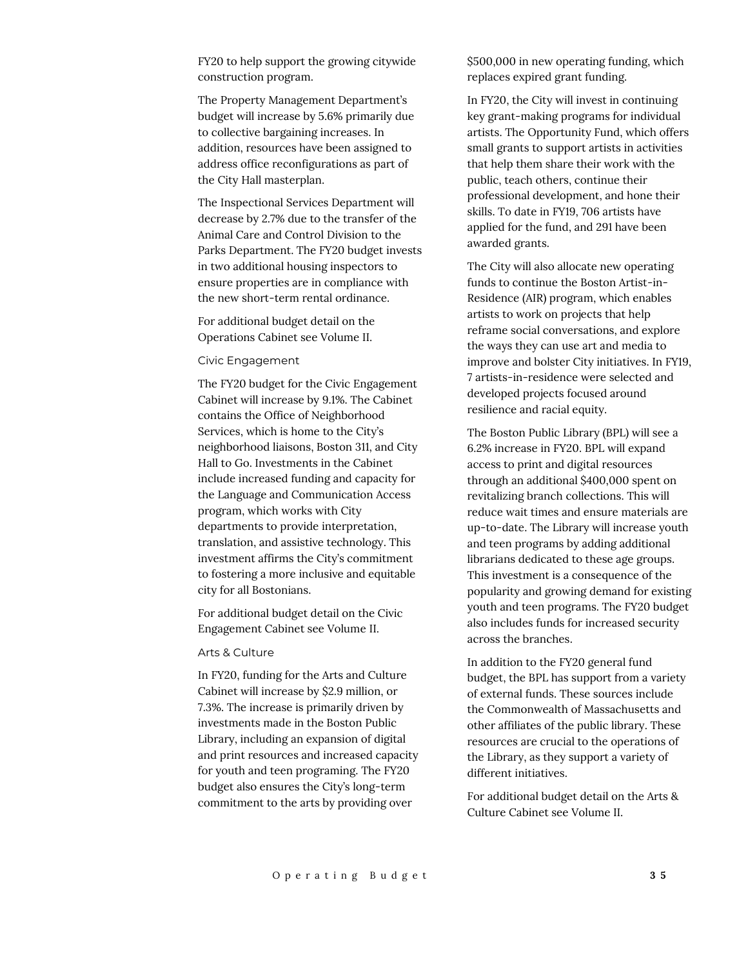FY20 to help support the growing citywide construction program.

The Property Management Department's budget will increase by 5.6% primarily due to collective bargaining increases. In addition, resources have been assigned to address office reconfigurations as part of the City Hall masterplan.

The Inspectional Services Department will decrease by 2.7% due to the transfer of the Animal Care and Control Division to the Parks Department. The FY20 budget invests in two additional housing inspectors to ensure properties are in compliance with the new short-term rental ordinance.

For additional budget detail on the Operations Cabinet see Volume II.

#### Civic Engagement

The FY20 budget for the Civic Engagement Cabinet will increase by 9.1%. The Cabinet contains the Office of Neighborhood Services, which is home to the City's neighborhood liaisons, Boston 311, and City Hall to Go. Investments in the Cabinet include increased funding and capacity for the Language and Communication Access program, which works with City departments to provide interpretation, translation, and assistive technology. This investment affirms the City's commitment to fostering a more inclusive and equitable city for all Bostonians.

For additional budget detail on the Civic Engagement Cabinet see Volume II.

#### Arts & Culture

In FY20, funding for the Arts and Culture Cabinet will increase by \$2.9 million, or 7.3%. The increase is primarily driven by investments made in the Boston Public Library, including an expansion of digital and print resources and increased capacity for youth and teen programing. The FY20 budget also ensures the City's long-term commitment to the arts by providing over

\$500,000 in new operating funding, which replaces expired grant funding.

In FY20, the City will invest in continuing key grant-making programs for individual artists. The Opportunity Fund, which offers small grants to support artists in activities that help them share their work with the public, teach others, continue their professional development, and hone their skills. To date in FY19, 706 artists have applied for the fund, and 291 have been awarded grants.

The City will also allocate new operating funds to continue the Boston Artist-in-Residence (AIR) program, which enables artists to work on projects that help reframe social conversations, and explore the ways they can use art and media to improve and bolster City initiatives. In FY19, 7 artists-in-residence were selected and developed projects focused around resilience and racial equity.

The Boston Public Library (BPL) will see a 6.2% increase in FY20. BPL will expand access to print and digital resources through an additional \$400,000 spent on revitalizing branch collections. This will reduce wait times and ensure materials are up-to-date. The Library will increase youth and teen programs by adding additional librarians dedicated to these age groups. This investment is a consequence of the popularity and growing demand for existing youth and teen programs. The FY20 budget also includes funds for increased security across the branches.

In addition to the FY20 general fund budget, the BPL has support from a variety of external funds. These sources include the Commonwealth of Massachusetts and other affiliates of the public library. These resources are crucial to the operations of the Library, as they support a variety of different initiatives.

For additional budget detail on the Arts & Culture Cabinet see Volume II.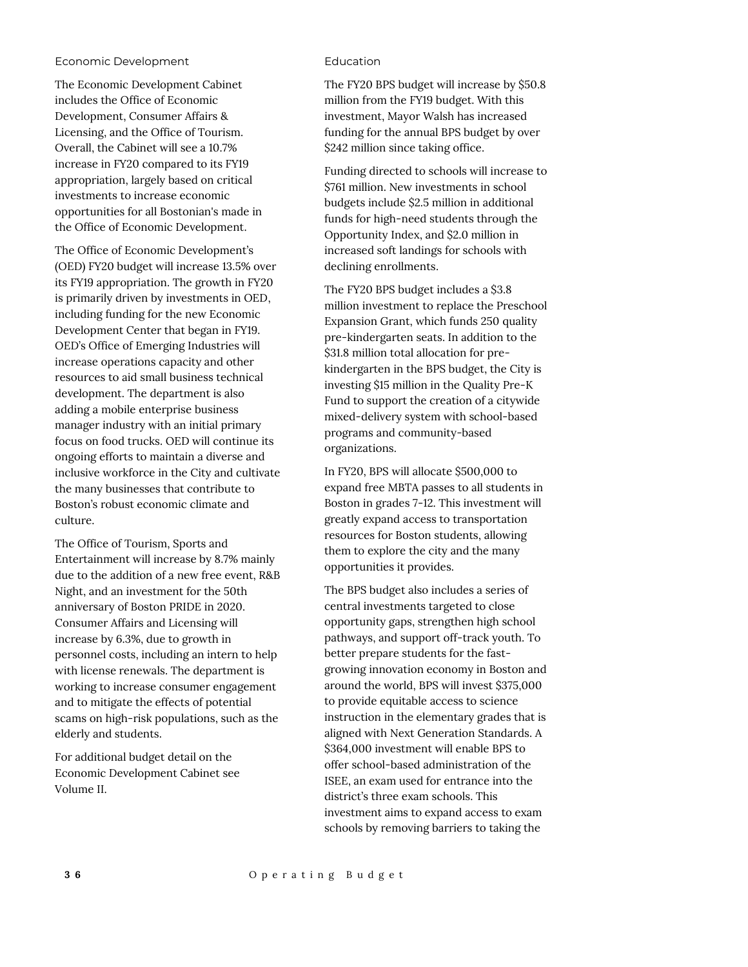#### Economic Development

The Economic Development Cabinet includes the Office of Economic Development, Consumer Affairs & Licensing, and the Office of Tourism. Overall, the Cabinet will see a 10.7% increase in FY20 compared to its FY19 appropriation, largely based on critical investments to increase economic opportunities for all Bostonian's made in the Office of Economic Development.

The Office of Economic Development's (OED) FY20 budget will increase 13.5% over its FY19 appropriation. The growth in FY20 is primarily driven by investments in OED, including funding for the new Economic Development Center that began in FY19. OED's Office of Emerging Industries will increase operations capacity and other resources to aid small business technical development. The department is also adding a mobile enterprise business manager industry with an initial primary focus on food trucks. OED will continue its ongoing efforts to maintain a diverse and inclusive workforce in the City and cultivate the many businesses that contribute to Boston's robust economic climate and culture.

The Office of Tourism, Sports and Entertainment will increase by 8.7% mainly due to the addition of a new free event, R&B Night, and an investment for the 50th anniversary of Boston PRIDE in 2020. Consumer Affairs and Licensing will increase by 6.3%, due to growth in personnel costs, including an intern to help with license renewals. The department is working to increase consumer engagement and to mitigate the effects of potential scams on high-risk populations, such as the elderly and students.

For additional budget detail on the Economic Development Cabinet see Volume II.

#### Education

The FY20 BPS budget will increase by \$50.8 million from the FY19 budget. With this investment, Mayor Walsh has increased funding for the annual BPS budget by over \$242 million since taking office.

Funding directed to schools will increase to \$761 million. New investments in school budgets include \$2.5 million in additional funds for high-need students through the Opportunity Index, and \$2.0 million in increased soft landings for schools with declining enrollments.

The FY20 BPS budget includes a \$3.8 million investment to replace the Preschool Expansion Grant, which funds 250 quality pre-kindergarten seats. In addition to the \$31.8 million total allocation for prekindergarten in the BPS budget, the City is investing \$15 million in the Quality Pre-K Fund to support the creation of a citywide mixed-delivery system with school-based programs and community-based organizations.

In FY20, BPS will allocate \$500,000 to expand free MBTA passes to all students in Boston in grades 7-12. This investment will greatly expand access to transportation resources for Boston students, allowing them to explore the city and the many opportunities it provides.

The BPS budget also includes a series of central investments targeted to close opportunity gaps, strengthen high school pathways, and support off-track youth. To better prepare students for the fastgrowing innovation economy in Boston and around the world, BPS will invest \$375,000 to provide equitable access to science instruction in the elementary grades that is aligned with Next Generation Standards. A \$364,000 investment will enable BPS to offer school-based administration of the ISEE, an exam used for entrance into the district's three exam schools. This investment aims to expand access to exam schools by removing barriers to taking the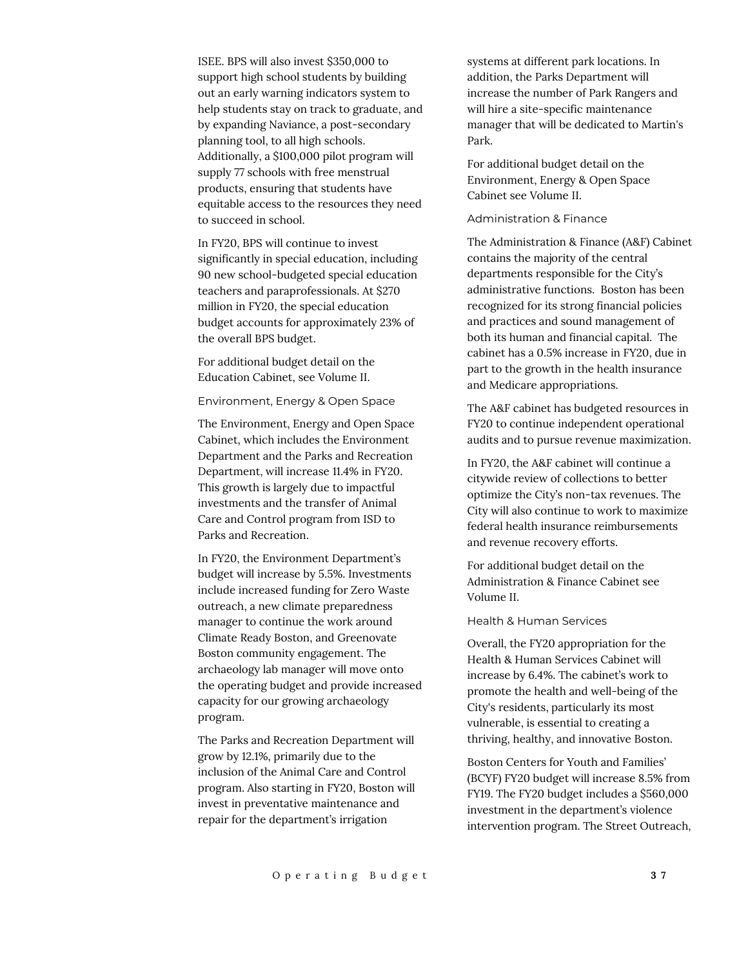ISEE. BPS will also invest \$350,000 to support high school students by building out an early warning indicators system to help students stay on track to graduate, and by expanding Naviance, a post-secondary planning tool, to all high schools. Additionally, a \$100,000 pilot program will supply 77 schools with free menstrual products, ensuring that students have equitable access to the resources they need to succeed in school.

In FY20, BPS will continue to invest significantly in special education, including 90 new school-budgeted special education teachers and paraprofessionals. At \$270 million in FY20, the special education budget accounts for approximately 23% of the overall BPS budget.

For additional budget detail on the Education Cabinet, see Volume II.

Environment, Energy & Open Space

The Environment, Energy and Open Space Cabinet, which includes the Environment Department and the Parks and Recreation Department, will increase 11.4% in FY20. This growth is largely due to impactful investments and the transfer of Animal Care and Control program from ISD to Parks and Recreation.

In FY20, the Environment Department's budget will increase by 5.5%. Investments include increased funding for Zero Waste outreach, a new climate preparedness manager to continue the work around Climate Ready Boston, and Greenovate Boston community engagement. The archaeology lab manager will move onto the operating budget and provide increased capacity for our growing archaeology program.

The Parks and Recreation Department will grow by 12.1%, primarily due to the inclusion of the Animal Care and Control program. Also starting in FY20, Boston will invest in preventative maintenance and repair for the department's irrigation

systems at different park locations. In addition, the Parks Department will increase the number of Park Rangers and will hire a site-specific maintenance manager that will be dedicated to Martin's Park.

For additional budget detail on the Environment, Energy & Open Space Cabinet see Volume II.

#### Administration & Finance

The Administration & Finance (A&F) Cabinet contains the majority of the central departments responsible for the City's administrative functions. Boston has been recognized for its strong financial policies and practices and sound management of both its human and financial capital. The cabinet has a 0.5% increase in FY20, due in part to the growth in the health insurance and Medicare appropriations.

The A&F cabinet has budgeted resources in FY20 to continue independent operational audits and to pursue revenue maximization.

In FY20, the A&F cabinet will continue a citywide review of collections to better optimize the City's non-tax revenues. The City will also continue to work to maximize federal health insurance reimbursements and revenue recovery efforts.

For additional budget detail on the Administration & Finance Cabinet see Volume II.

#### Health & Human Services

Overall, the FY20 appropriation for the Health & Human Services Cabinet will increase by 6.4%. The cabinet's work to promote the health and well-being of the City's residents, particularly its most vulnerable, is essential to creating a thriving, healthy, and innovative Boston.

Boston Centers for Youth and Families' (BCYF) FY20 budget will increase 8.5% from FY19. The FY20 budget includes a \$560,000 investment in the department's violence intervention program. The Street Outreach,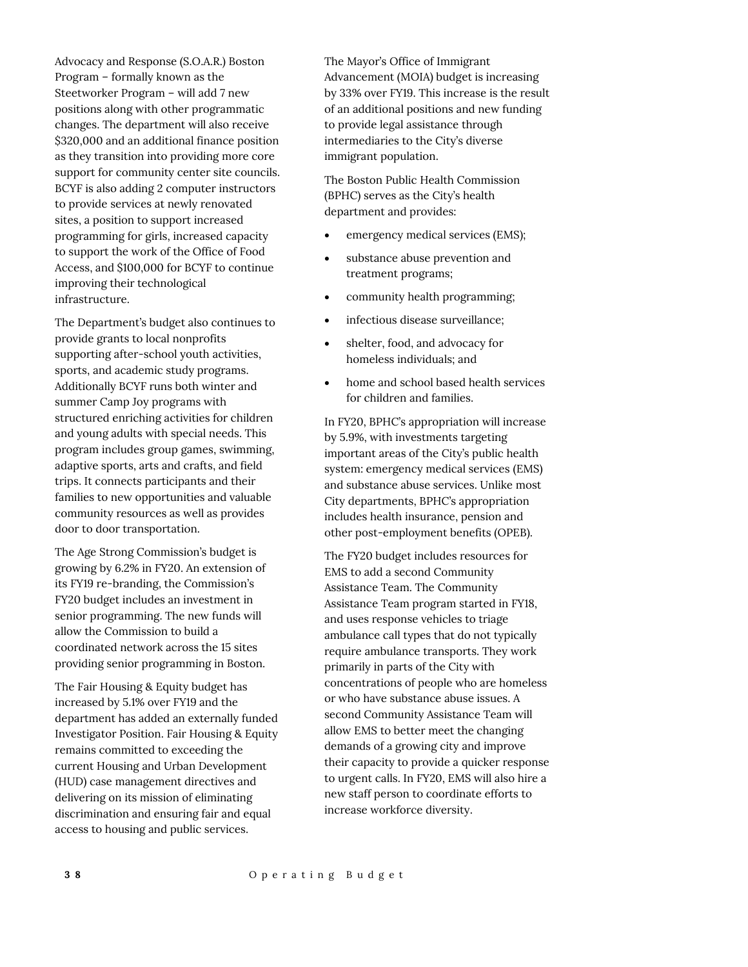Advocacy and Response (S.O.A.R.) Boston Program – formally known as the Steetworker Program – will add 7 new positions along with other programmatic changes. The department will also receive \$320,000 and an additional finance position as they transition into providing more core support for community center site councils. BCYF is also adding 2 computer instructors to provide services at newly renovated sites, a position to support increased programming for girls, increased capacity to support the work of the Office of Food Access, and \$100,000 for BCYF to continue improving their technological infrastructure.

The Department's budget also continues to provide grants to local nonprofits supporting after-school youth activities, sports, and academic study programs. Additionally BCYF runs both winter and summer Camp Joy programs with structured enriching activities for children and young adults with special needs. This program includes group games, swimming, adaptive sports, arts and crafts, and field trips. It connects participants and their families to new opportunities and valuable community resources as well as provides door to door transportation.

The Age Strong Commission's budget is growing by 6.2% in FY20. An extension of its FY19 re-branding, the Commission's FY20 budget includes an investment in senior programming. The new funds will allow the Commission to build a coordinated network across the 15 sites providing senior programming in Boston.

The Fair Housing & Equity budget has increased by 5.1% over FY19 and the department has added an externally funded Investigator Position. Fair Housing & Equity remains committed to exceeding the current Housing and Urban Development (HUD) case management directives and delivering on its mission of eliminating discrimination and ensuring fair and equal access to housing and public services.

The Mayor's Office of Immigrant Advancement (MOIA) budget is increasing by 33% over FY19. This increase is the result of an additional positions and new funding to provide legal assistance through intermediaries to the City's diverse immigrant population.

The Boston Public Health Commission (BPHC) serves as the City's health department and provides:

- emergency medical services (EMS);
- substance abuse prevention and treatment programs;
- community health programming;
- infectious disease surveillance;
- shelter, food, and advocacy for homeless individuals; and
- home and school based health services for children and families.

In FY20, BPHC's appropriation will increase by 5.9%, with investments targeting important areas of the City's public health system: emergency medical services (EMS) and substance abuse services. Unlike most City departments, BPHC's appropriation includes health insurance, pension and other post-employment benefits (OPEB).

The FY20 budget includes resources for EMS to add a second Community Assistance Team. The Community Assistance Team program started in FY18, and uses response vehicles to triage ambulance call types that do not typically require ambulance transports. They work primarily in parts of the City with concentrations of people who are homeless or who have substance abuse issues. A second Community Assistance Team will allow EMS to better meet the changing demands of a growing city and improve their capacity to provide a quicker response to urgent calls. In FY20, EMS will also hire a new staff person to coordinate efforts to increase workforce diversity.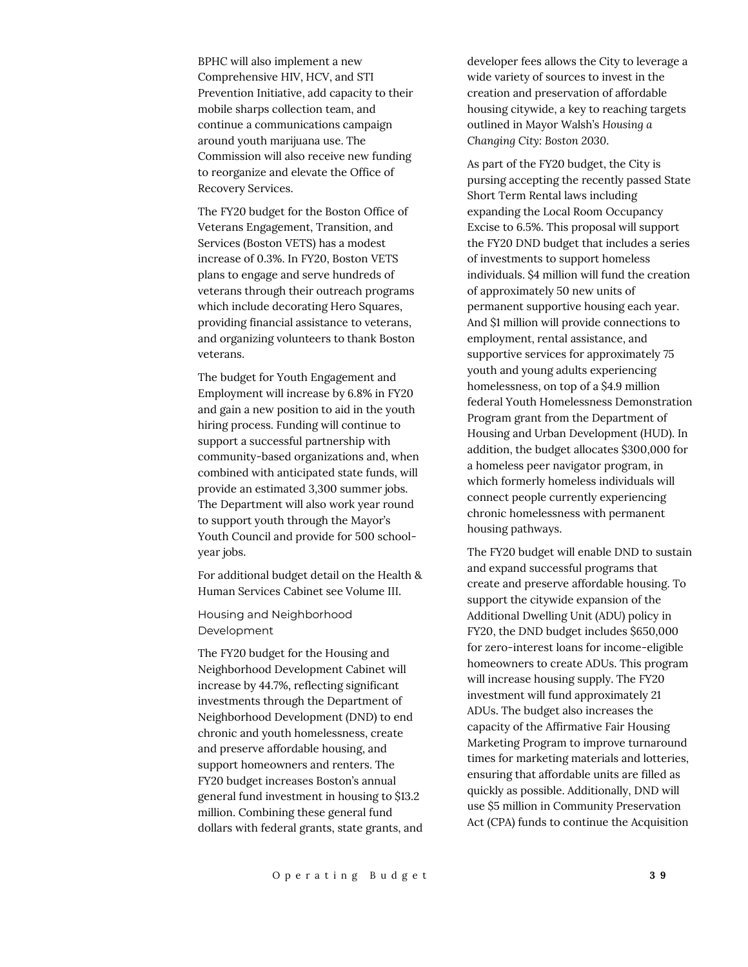BPHC will also implement a new Comprehensive HIV, HCV, and STI Prevention Initiative, add capacity to their mobile sharps collection team, and continue a communications campaign around youth marijuana use. The Commission will also receive new funding to reorganize and elevate the Office of Recovery Services.

The FY20 budget for the Boston Office of Veterans Engagement, Transition, and Services (Boston VETS) has a modest increase of 0.3%. In FY20, Boston VETS plans to engage and serve hundreds of veterans through their outreach programs which include decorating Hero Squares, providing financial assistance to veterans, and organizing volunteers to thank Boston veterans.

The budget for Youth Engagement and Employment will increase by 6.8% in FY20 and gain a new position to aid in the youth hiring process. Funding will continue to support a successful partnership with community-based organizations and, when combined with anticipated state funds, will provide an estimated 3,300 summer jobs. The Department will also work year round to support youth through the Mayor's Youth Council and provide for 500 schoolyear jobs.

For additional budget detail on the Health & Human Services Cabinet see Volume III.

Housing and Neighborhood Development

The FY20 budget for the Housing and Neighborhood Development Cabinet will increase by 44.7%, reflecting significant investments through the Department of Neighborhood Development (DND) to end chronic and youth homelessness, create and preserve affordable housing, and support homeowners and renters. The FY20 budget increases Boston's annual general fund investment in housing to \$13.2 million. Combining these general fund dollars with federal grants, state grants, and developer fees allows the City to leverage a wide variety of sources to invest in the creation and preservation of affordable housing citywide, a key to reaching targets outlined in Mayor Walsh's *Housing a Changing City: Boston 2030*.

As part of the FY20 budget, the City is pursing accepting the recently passed State Short Term Rental laws including expanding the Local Room Occupancy Excise to 6.5%. This proposal will support the FY20 DND budget that includes a series of investments to support homeless individuals. \$4 million will fund the creation of approximately 50 new units of permanent supportive housing each year. And \$1 million will provide connections to employment, rental assistance, and supportive services for approximately 75 youth and young adults experiencing homelessness, on top of a \$4.9 million federal Youth Homelessness Demonstration Program grant from the Department of Housing and Urban Development (HUD). In addition, the budget allocates \$300,000 for a homeless peer navigator program, in which formerly homeless individuals will connect people currently experiencing chronic homelessness with permanent housing pathways.

The FY20 budget will enable DND to sustain and expand successful programs that create and preserve affordable housing. To support the citywide expansion of the Additional Dwelling Unit (ADU) policy in FY20, the DND budget includes \$650,000 for zero-interest loans for income-eligible homeowners to create ADUs. This program will increase housing supply. The FY20 investment will fund approximately 21 ADUs. The budget also increases the capacity of the Affirmative Fair Housing Marketing Program to improve turnaround times for marketing materials and lotteries, ensuring that affordable units are filled as quickly as possible. Additionally, DND will use \$5 million in Community Preservation Act (CPA) funds to continue the Acquisition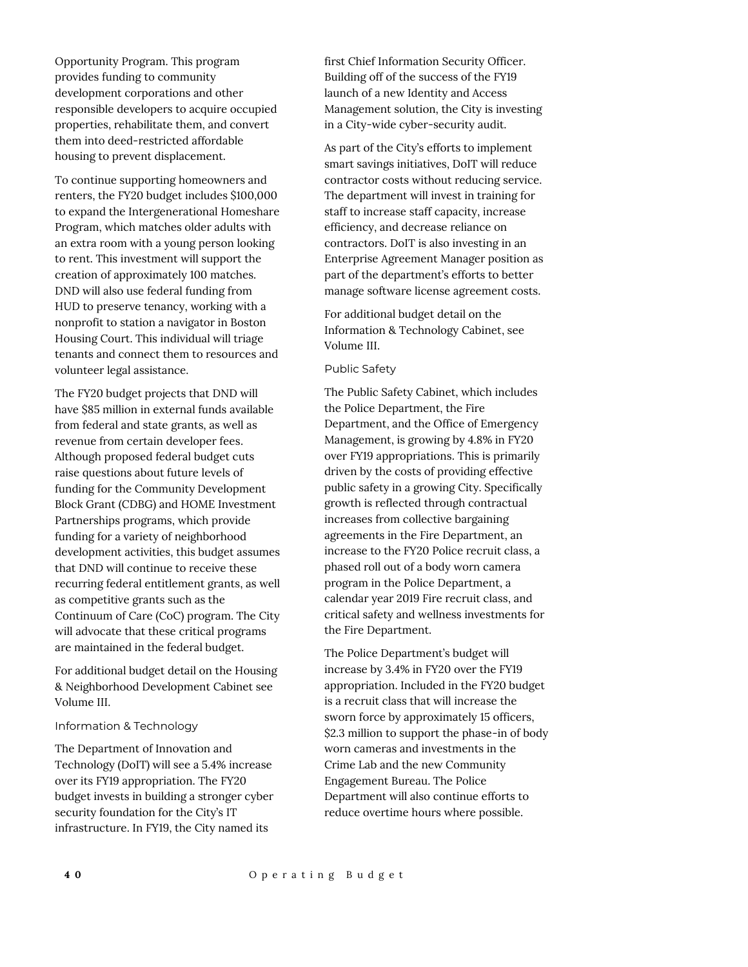To continue supporting homeowners and renters, the FY20 budget includes \$100,000 to expand the Intergenerational Homeshare Program, which matches older adults with an extra room with a young person looking to rent. This investment will support the creation of approximately 100 matches. DND will also use federal funding from HUD to preserve tenancy, working with a nonprofit to station a navigator in Boston Housing Court. This individual will triage tenants and connect them to resources and volunteer legal assistance.

The FY20 budget projects that DND will have \$85 million in external funds available from federal and state grants, as well as revenue from certain developer fees. Although proposed federal budget cuts raise questions about future levels of funding for the Community Development Block Grant (CDBG) and HOME Investment Partnerships programs, which provide funding for a variety of neighborhood development activities, this budget assumes that DND will continue to receive these recurring federal entitlement grants, as well as competitive grants such as the Continuum of Care (CoC) program. The City will advocate that these critical programs are maintained in the federal budget.

For additional budget detail on the Housing & Neighborhood Development Cabinet see Volume III.

#### Information & Technology

The Department of Innovation and Technology (DoIT) will see a 5.4% increase over its FY19 appropriation. The FY20 budget invests in building a stronger cyber security foundation for the City's IT infrastructure. In FY19, the City named its

first Chief Information Security Officer. Building off of the success of the FY19 launch of a new Identity and Access Management solution, the City is investing in a City-wide cyber-security audit.

As part of the City's efforts to implement smart savings initiatives, DoIT will reduce contractor costs without reducing service. The department will invest in training for staff to increase staff capacity, increase efficiency, and decrease reliance on contractors. DoIT is also investing in an Enterprise Agreement Manager position as part of the department's efforts to better manage software license agreement costs.

For additional budget detail on the Information & Technology Cabinet, see Volume III.

#### Public Safety

The Public Safety Cabinet, which includes the Police Department, the Fire Department, and the Office of Emergency Management, is growing by 4.8% in FY20 over FY19 appropriations. This is primarily driven by the costs of providing effective public safety in a growing City. Specifically growth is reflected through contractual increases from collective bargaining agreements in the Fire Department, an increase to the FY20 Police recruit class, a phased roll out of a body worn camera program in the Police Department, a calendar year 2019 Fire recruit class, and critical safety and wellness investments for the Fire Department.

The Police Department's budget will increase by 3.4% in FY20 over the FY19 appropriation. Included in the FY20 budget is a recruit class that will increase the sworn force by approximately 15 officers, \$2.3 million to support the phase-in of body worn cameras and investments in the Crime Lab and the new Community Engagement Bureau. The Police Department will also continue efforts to reduce overtime hours where possible.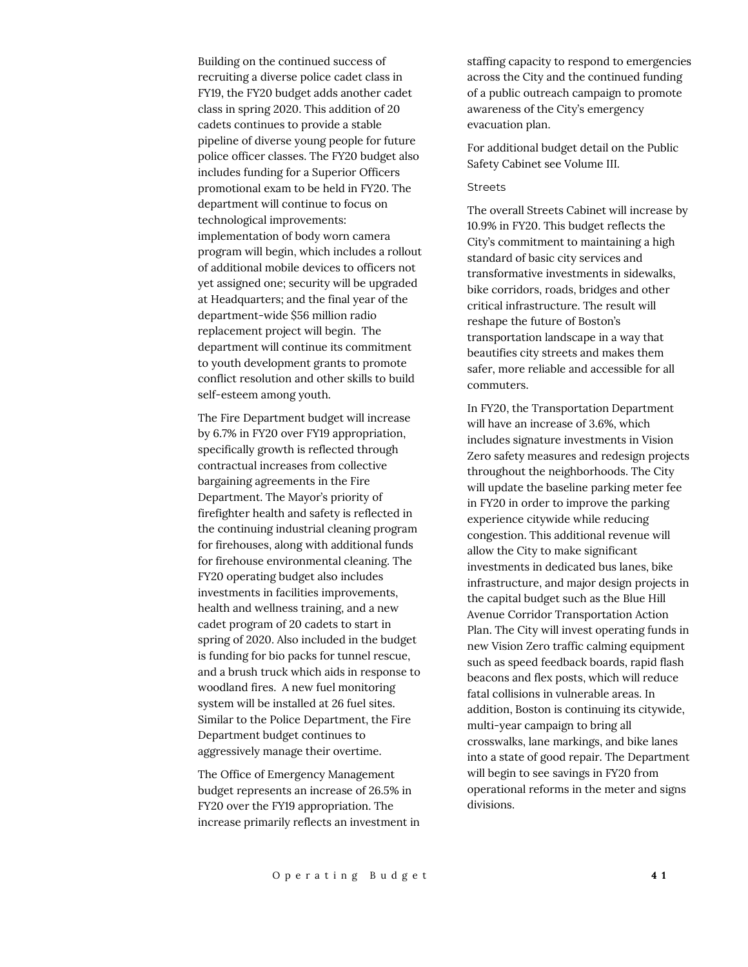Building on the continued success of recruiting a diverse police cadet class in FY19, the FY20 budget adds another cadet class in spring 2020. This addition of 20 cadets continues to provide a stable pipeline of diverse young people for future police officer classes. The FY20 budget also includes funding for a Superior Officers promotional exam to be held in FY20. The department will continue to focus on technological improvements: implementation of body worn camera program will begin, which includes a rollout of additional mobile devices to officers not yet assigned one; security will be upgraded at Headquarters; and the final year of the department-wide \$56 million radio replacement project will begin. The department will continue its commitment to youth development grants to promote conflict resolution and other skills to build self-esteem among youth.

The Fire Department budget will increase by 6.7% in FY20 over FY19 appropriation, specifically growth is reflected through contractual increases from collective bargaining agreements in the Fire Department. The Mayor's priority of firefighter health and safety is reflected in the continuing industrial cleaning program for firehouses, along with additional funds for firehouse environmental cleaning. The FY20 operating budget also includes investments in facilities improvements, health and wellness training, and a new cadet program of 20 cadets to start in spring of 2020. Also included in the budget is funding for bio packs for tunnel rescue, and a brush truck which aids in response to woodland fires. A new fuel monitoring system will be installed at 26 fuel sites. Similar to the Police Department, the Fire Department budget continues to aggressively manage their overtime.

The Office of Emergency Management budget represents an increase of 26.5% in FY20 over the FY19 appropriation. The increase primarily reflects an investment in staffing capacity to respond to emergencies across the City and the continued funding of a public outreach campaign to promote awareness of the City's emergency evacuation plan.

For additional budget detail on the Public Safety Cabinet see Volume III.

#### Streets

The overall Streets Cabinet will increase by 10.9% in FY20. This budget reflects the City's commitment to maintaining a high standard of basic city services and transformative investments in sidewalks, bike corridors, roads, bridges and other critical infrastructure. The result will reshape the future of Boston's transportation landscape in a way that beautifies city streets and makes them safer, more reliable and accessible for all commuters.

In FY20, the Transportation Department will have an increase of 3.6%, which includes signature investments in Vision Zero safety measures and redesign projects throughout the neighborhoods. The City will update the baseline parking meter fee in FY20 in order to improve the parking experience citywide while reducing congestion. This additional revenue will allow the City to make significant investments in dedicated bus lanes, bike infrastructure, and major design projects in the capital budget such as the Blue Hill Avenue Corridor Transportation Action Plan. The City will invest operating funds in new Vision Zero traffic calming equipment such as speed feedback boards, rapid flash beacons and flex posts, which will reduce fatal collisions in vulnerable areas. In addition, Boston is continuing its citywide, multi-year campaign to bring all crosswalks, lane markings, and bike lanes into a state of good repair. The Department will begin to see savings in FY20 from operational reforms in the meter and signs divisions.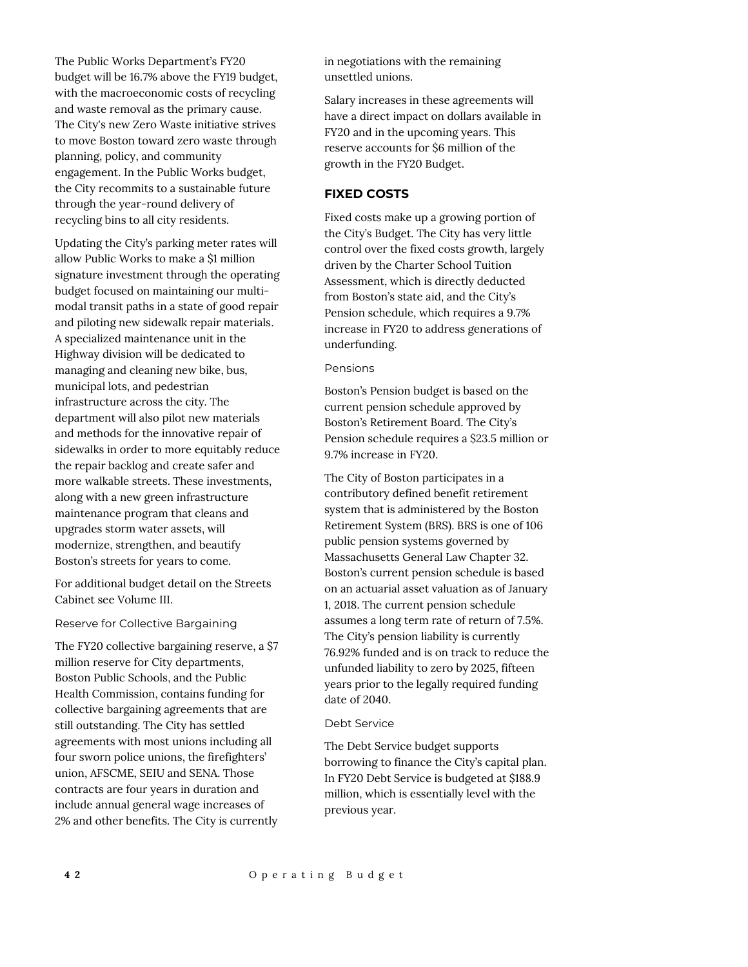The Public Works Department's FY20 budget will be 16.7% above the FY19 budget, with the macroeconomic costs of recycling and waste removal as the primary cause. The City's new Zero Waste initiative strives to move Boston toward zero waste through planning, policy, and community engagement. In the Public Works budget, the City recommits to a sustainable future through the year-round delivery of recycling bins to all city residents.

Updating the City's parking meter rates will allow Public Works to make a \$1 million signature investment through the operating budget focused on maintaining our multimodal transit paths in a state of good repair and piloting new sidewalk repair materials. A specialized maintenance unit in the Highway division will be dedicated to managing and cleaning new bike, bus, municipal lots, and pedestrian infrastructure across the city. The department will also pilot new materials and methods for the innovative repair of sidewalks in order to more equitably reduce the repair backlog and create safer and more walkable streets. These investments, along with a new green infrastructure maintenance program that cleans and upgrades storm water assets, will modernize, strengthen, and beautify Boston's streets for years to come.

For additional budget detail on the Streets Cabinet see Volume III.

#### Reserve for Collective Bargaining

The FY20 collective bargaining reserve, a \$7 million reserve for City departments, Boston Public Schools, and the Public Health Commission, contains funding for collective bargaining agreements that are still outstanding. The City has settled agreements with most unions including all four sworn police unions, the firefighters' union, AFSCME, SEIU and SENA. Those contracts are four years in duration and include annual general wage increases of 2% and other benefits. The City is currently

in negotiations with the remaining unsettled unions.

Salary increases in these agreements will have a direct impact on dollars available in FY20 and in the upcoming years. This reserve accounts for \$6 million of the growth in the FY20 Budget.

# **FIXED COSTS**

Fixed costs make up a growing portion of the City's Budget. The City has very little control over the fixed costs growth, largely driven by the Charter School Tuition Assessment, which is directly deducted from Boston's state aid, and the City's Pension schedule, which requires a 9.7% increase in FY20 to address generations of underfunding.

#### Pensions

Boston's Pension budget is based on the current pension schedule approved by Boston's Retirement Board. The City's Pension schedule requires a \$23.5 million or 9.7% increase in FY20.

The City of Boston participates in a contributory defined benefit retirement system that is administered by the Boston Retirement System (BRS). BRS is one of 106 public pension systems governed by Massachusetts General Law Chapter 32. Boston's current pension schedule is based on an actuarial asset valuation as of January 1, 2018. The current pension schedule assumes a long term rate of return of 7.5%. The City's pension liability is currently 76.92% funded and is on track to reduce the unfunded liability to zero by 2025, fifteen years prior to the legally required funding date of 2040.

#### Debt Service

The Debt Service budget supports borrowing to finance the City's capital plan. In FY20 Debt Service is budgeted at \$188.9 million, which is essentially level with the previous year.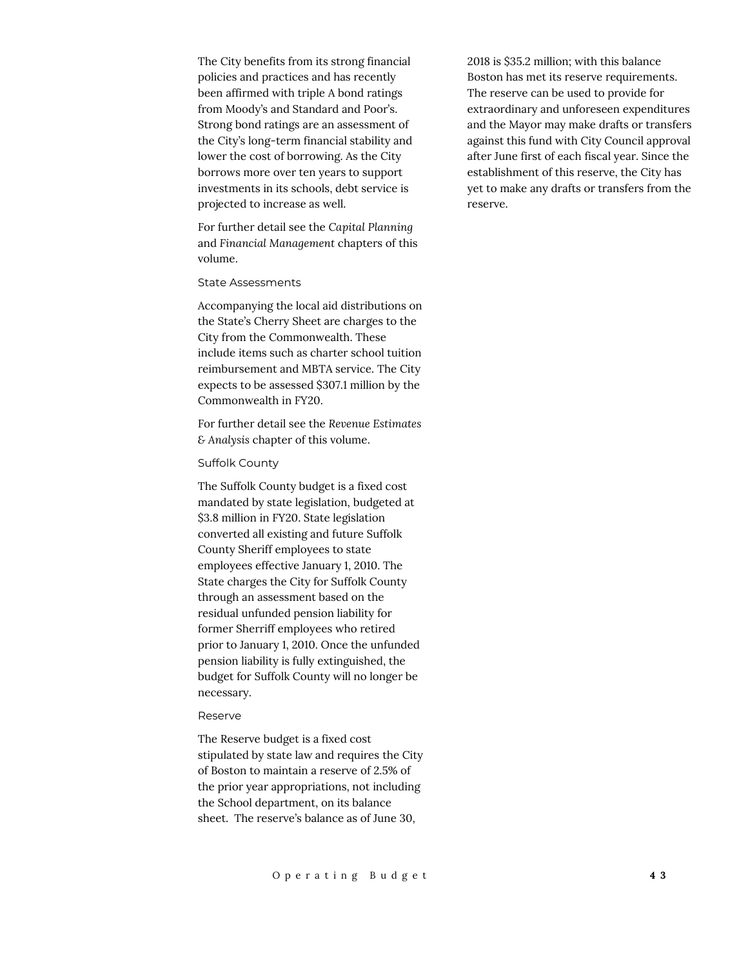The City benefits from its strong financial policies and practices and has recently been affirmed with triple A bond ratings from Moody's and Standard and Poor's. Strong bond ratings are an assessment of the City's long-term financial stability and lower the cost of borrowing. As the City borrows more over ten years to support investments in its schools, debt service is projected to increase as well.

For further detail see the *Capital Planning*  and *Financial Management* chapters of this volume.

#### State Assessments

Accompanying the local aid distributions on the State's Cherry Sheet are charges to the City from the Commonwealth. These include items such as charter school tuition reimbursement and MBTA service. The City expects to be assessed \$307.1 million by the Commonwealth in FY20.

For further detail see the *Revenue Estimates & Analysis* chapter of this volume.

#### Suffolk County

The Suffolk County budget is a fixed cost mandated by state legislation, budgeted at \$3.8 million in FY20. State legislation converted all existing and future Suffolk County Sheriff employees to state employees effective January 1, 2010. The State charges the City for Suffolk County through an assessment based on the residual unfunded pension liability for former Sherriff employees who retired prior to January 1, 2010. Once the unfunded pension liability is fully extinguished, the budget for Suffolk County will no longer be necessary.

#### Reserve

The Reserve budget is a fixed cost stipulated by state law and requires the City of Boston to maintain a reserve of 2.5% of the prior year appropriations, not including the School department, on its balance sheet. The reserve's balance as of June 30,

2018 is \$35.2 million; with this balance Boston has met its reserve requirements. The reserve can be used to provide for extraordinary and unforeseen expenditures and the Mayor may make drafts or transfers against this fund with City Council approval after June first of each fiscal year. Since the establishment of this reserve, the City has yet to make any drafts or transfers from the reserve.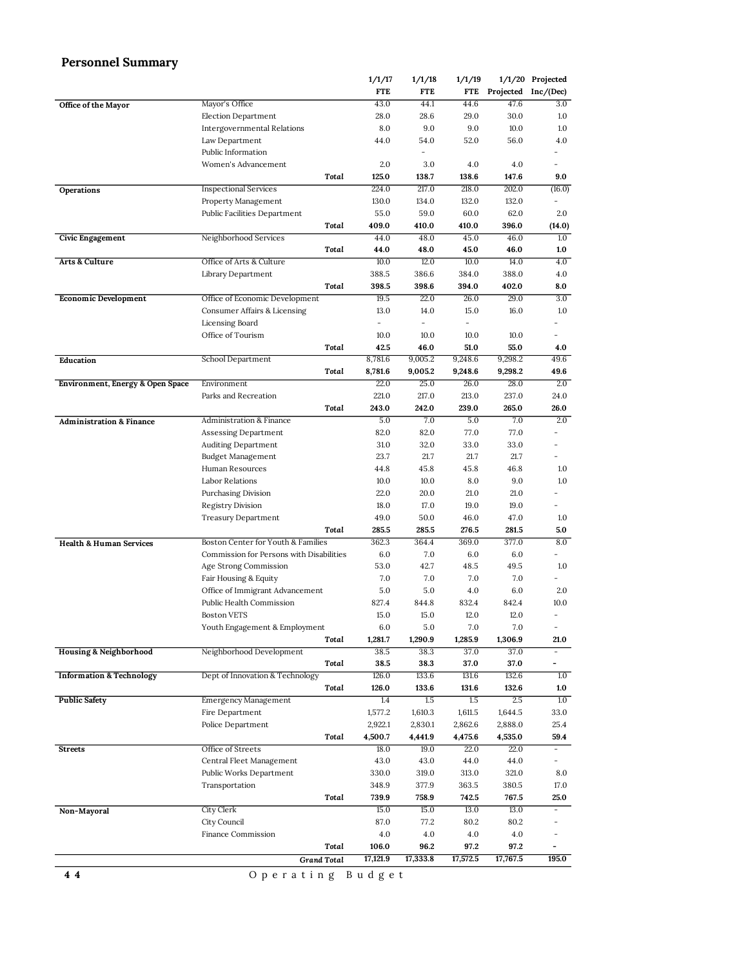# **Personnel Summary**

|                                             |                                          |                    | 1/1/17     | 1/1/18   | 1/1/19   |          | 1/1/20 Projected         |
|---------------------------------------------|------------------------------------------|--------------------|------------|----------|----------|----------|--------------------------|
|                                             |                                          |                    | <b>FTE</b> | FTE      | FTE      |          | Projected Inc/(Dec)      |
| Office of the Mayor                         | Mayor's Office                           |                    | 43.0       | 44.1     | 44.6     | 47.6     | 3.0                      |
|                                             | Election Department                      |                    | 28.0       | 28.6     | 29.0     | 30.0     | 1.0                      |
|                                             | Intergovernmental Relations              |                    | 8.0        | 9.0      | 9.0      | 10.0     | 1.0                      |
|                                             | Law Department                           |                    | 44.0       | 54.0     | 52.0     | 56.0     | 4.0                      |
|                                             | Public Information                       |                    |            | L,       |          |          | Ξ.                       |
|                                             | Women's Advancement                      |                    | 2.0        | 3.0      | 4.0      | 4.0      | $\overline{\phantom{0}}$ |
|                                             |                                          | Total              | 125.0      | 138.7    | 138.6    | 147.6    | 9.0                      |
| Operations                                  | <b>Inspectional Services</b>             |                    | 224.0      | 217.0    | 218.0    | 202.0    | (16.0)                   |
|                                             | Property Management                      |                    | 130.0      | 134.0    | 132.0    | 132.0    |                          |
|                                             | Public Facilities Department             |                    | 55.0       | 59.0     | 60.0     | 62.0     | 2.0                      |
|                                             |                                          | Total              | 409.0      | 410.0    | 410.0    | 396.0    | (14.0)                   |
| Civic Engagement                            |                                          |                    | 44.0       | 48.0     | 45.0     | 46.0     | 1.0                      |
|                                             | Neighborhood Services                    |                    |            |          |          |          |                          |
|                                             |                                          | Total              | 44.0       | 48.0     | 45.0     | 46.0     | 1.0                      |
| Arts & Culture                              | Office of Arts & Culture                 |                    | 10.0       | 12.0     | 10.0     | 14.0     | 4.0                      |
|                                             | Library Department                       |                    | 388.5      | 386.6    | 384.0    | 388.0    | 4.0                      |
|                                             |                                          | Total              | 398.5      | 398.6    | 394.0    | 402.0    | 8.0                      |
| <b>Economic Development</b>                 | Office of Economic Development           |                    | 19.5       | 22.0     | 26.0     | 29.0     | 3.0                      |
|                                             | Consumer Affairs & Licensing             |                    | 13.0       | 14.0     | 15.0     | 16.0     | 1.0                      |
|                                             | Licensing Board                          |                    | L,         |          |          |          |                          |
|                                             | Office of Tourism                        |                    | 10.0       | 10.0     | 10.0     | 10.0     |                          |
|                                             |                                          | Total              | 42.5       | 46.0     | 51.0     | 55.0     | 4.0                      |
| Education                                   | School Department                        |                    | 8,781.6    | 9,005.2  | 9,248.6  | 9,298.2  | 49.6                     |
|                                             |                                          | Total              | 8,781.6    | 9,005.2  | 9,248.6  | 9,298.2  | 49.6                     |
| <b>Environment, Energy &amp; Open Space</b> | Environment                              |                    | 22.0       | 25.0     | 26.0     | 28.0     | 2.0                      |
|                                             | Parks and Recreation                     |                    | 221.0      | 217.0    | 213.0    | 237.0    | 24.0                     |
|                                             |                                          | Total              | 243.0      | 242.0    | 239.0    | 265.0    | 26.0                     |
| <b>Administration &amp; Finance</b>         | <b>Administration &amp; Finance</b>      |                    | 5.0        | 7.0      | 5.0      | 7.0      | 2.0                      |
|                                             | Assessing Department                     |                    | 82.0       | 82.0     | 77.0     | 77.0     |                          |
|                                             | <b>Auditing Department</b>               |                    | 31.0       | 32.0     | 33.0     | 33.0     |                          |
|                                             | Budget Management                        |                    | 23.7       | 21.7     | 21.7     | 21.7     |                          |
|                                             | Human Resources                          |                    | 44.8       | 45.8     | 45.8     | 46.8     | 1.0                      |
|                                             | Labor Relations                          |                    | 10.0       | 10.0     | 8.0      | 9.0      | 1.0                      |
|                                             |                                          |                    | 22.0       |          | 21.0     | 21.0     |                          |
|                                             | Purchasing Division                      |                    |            | 20.0     |          |          |                          |
|                                             | Registry Division                        |                    | 18.0       | 17.0     | 19.0     | 19.0     |                          |
|                                             | <b>Treasury Department</b>               |                    | 49.0       | 50.0     | 46.0     | 47.0     | 1.0                      |
|                                             |                                          | Total              | 285.5      | 285.5    | 276.5    | 281.5    | 5.0                      |
| <b>Health &amp; Human Services</b>          | Boston Center for Youth & Families       |                    | 362.3      | 364.4    | 369.0    | 377.0    | 8.0                      |
|                                             | Commission for Persons with Disabilities |                    | 6.0        | 7.0      | 6.0      | 6.0      |                          |
|                                             | Age Strong Commission                    |                    | 53.0       | 42.7     | 48.5     | 49.5     | 1.0                      |
|                                             | Fair Housing & Equity                    |                    | 7.0        | 7.0      | 7.0      | 7.0      |                          |
|                                             | Office of Immigrant Advancement          |                    | 5.0        | 5.0      | 4.0      | 6.0      | 2.0                      |
|                                             | Public Health Commission                 |                    | 827.4      | 844.8    | 832.4    | 842.4    | 10.0                     |
|                                             | <b>Boston VETS</b>                       |                    | 15.0       | 15.0     | 12.0     | 12.0     | $\overline{\phantom{0}}$ |
|                                             | Youth Engagement & Employment            |                    | 6.0        | 5.0      | 7.0      | 7.0      | $\overline{\phantom{a}}$ |
|                                             |                                          | Total              | 1,281.7    | 1,290.9  | 1,285.9  | 1,306.9  | 21.0                     |
| <b>Housing &amp; Neighborhood</b>           | Neighborhood Development                 |                    | 38.5       | 38.3     | 37.0     | 37.0     |                          |
|                                             |                                          | Total              | 38.5       | 38.3     | 37.0     | 37.0     | -                        |
| <b>Information &amp; Technology</b>         | Dept of Innovation & Technology          |                    | 126.0      | 133.6    | 131.6    | 132.6    | 1.0                      |
|                                             |                                          | Total              | 126.0      | 133.6    | 131.6    | 132.6    | 1.0                      |
| <b>Public Safety</b>                        | Emergency Management                     |                    | 1.4        | 1.5      | 1.5      | 2.5      | 1.0                      |
|                                             | Fire Department                          |                    | 1,577.2    | 1,610.3  | 1,611.5  | 1,644.5  | 33.0                     |
|                                             | Police Department                        |                    | 2,922.1    | 2,830.1  | 2,862.6  | 2,888.0  | 25.4                     |
|                                             |                                          | Total              | 4,500.7    | 4,441.9  | 4,475.6  | 4,535.0  | 59.4                     |
|                                             | Office of Streets                        |                    | 18.0       | 19.0     | 22.0     | 22.0     |                          |
| <b>Streets</b>                              |                                          |                    |            |          |          |          |                          |
|                                             | Central Fleet Management                 |                    | 43.0       | 43.0     | 44.0     | 44.0     | $\overline{\phantom{a}}$ |
|                                             | Public Works Department                  |                    | 330.0      | 319.0    | 313.0    | 321.0    | 8.0                      |
|                                             | Transportation                           |                    | 348.9      | 377.9    | 363.5    | 380.5    | 17.0                     |
|                                             |                                          | Total              | 739.9      | 758.9    | 742.5    | 767.5    | 25.0                     |
| Non-Mayoral                                 | City Clerk                               |                    | 15.0       | 15.0     | 13.0     | 13.0     | $\sim$                   |
|                                             | City Council                             |                    | 87.0       | 77.2     | 80.2     | 80.2     |                          |
|                                             | Finance Commission                       |                    | 4.0        | 4.0      | 4.0      | 4.0      |                          |
|                                             |                                          | Total              | 106.0      | 96.2     | 97.2     | 97.2     |                          |
|                                             |                                          | <b>Grand Total</b> | 17,121.9   | 17,333.8 | 17,572.5 | 17,767.5 | 195.0                    |

**4 4** O p e r a t i n g B u d g e t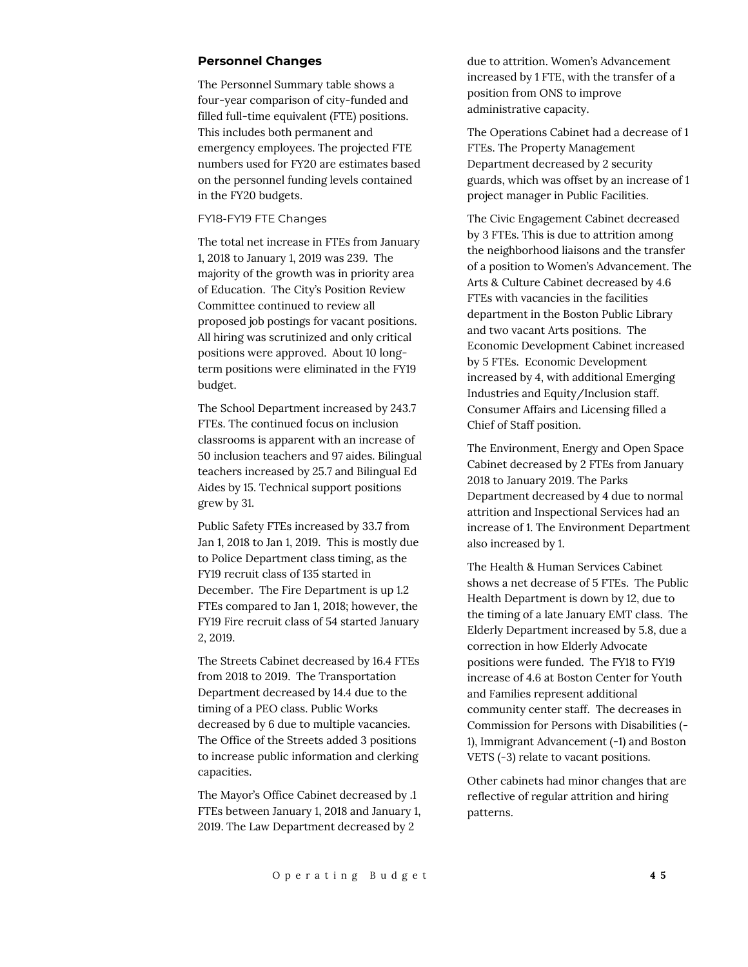#### **Personnel Changes**

The Personnel Summary table shows a four-year comparison of city-funded and filled full-time equivalent (FTE) positions. This includes both permanent and emergency employees. The projected FTE numbers used for FY20 are estimates based on the personnel funding levels contained in the FY20 budgets.

#### FY18-FY19 FTE Changes

The total net increase in FTEs from January 1, 2018 to January 1, 2019 was 239. The majority of the growth was in priority area of Education. The City's Position Review Committee continued to review all proposed job postings for vacant positions. All hiring was scrutinized and only critical positions were approved. About 10 longterm positions were eliminated in the FY19 budget.

The School Department increased by 243.7 FTEs. The continued focus on inclusion classrooms is apparent with an increase of 50 inclusion teachers and 97 aides. Bilingual teachers increased by 25.7 and Bilingual Ed Aides by 15. Technical support positions grew by 31.

Public Safety FTEs increased by 33.7 from Jan 1, 2018 to Jan 1, 2019. This is mostly due to Police Department class timing, as the FY19 recruit class of 135 started in December. The Fire Department is up 1.2 FTEs compared to Jan 1, 2018; however, the FY19 Fire recruit class of 54 started January 2, 2019.

The Streets Cabinet decreased by 16.4 FTEs from 2018 to 2019. The Transportation Department decreased by 14.4 due to the timing of a PEO class. Public Works decreased by 6 due to multiple vacancies. The Office of the Streets added 3 positions to increase public information and clerking capacities.

The Mayor's Office Cabinet decreased by .1 FTEs between January 1, 2018 and January 1, 2019. The Law Department decreased by 2

due to attrition. Women's Advancement increased by 1 FTE, with the transfer of a position from ONS to improve administrative capacity.

The Operations Cabinet had a decrease of 1 FTEs. The Property Management Department decreased by 2 security guards, which was offset by an increase of 1 project manager in Public Facilities.

The Civic Engagement Cabinet decreased by 3 FTEs. This is due to attrition among the neighborhood liaisons and the transfer of a position to Women's Advancement. The Arts & Culture Cabinet decreased by 4.6 FTEs with vacancies in the facilities department in the Boston Public Library and two vacant Arts positions. The Economic Development Cabinet increased by 5 FTEs. Economic Development increased by 4, with additional Emerging Industries and Equity/Inclusion staff. Consumer Affairs and Licensing filled a Chief of Staff position.

The Environment, Energy and Open Space Cabinet decreased by 2 FTEs from January 2018 to January 2019. The Parks Department decreased by 4 due to normal attrition and Inspectional Services had an increase of 1. The Environment Department also increased by 1.

The Health & Human Services Cabinet shows a net decrease of 5 FTEs. The Public Health Department is down by 12, due to the timing of a late January EMT class. The Elderly Department increased by 5.8, due a correction in how Elderly Advocate positions were funded. The FY18 to FY19 increase of 4.6 at Boston Center for Youth and Families represent additional community center staff. The decreases in Commission for Persons with Disabilities (- 1), Immigrant Advancement (-1) and Boston VETS (-3) relate to vacant positions.

Other cabinets had minor changes that are reflective of regular attrition and hiring patterns.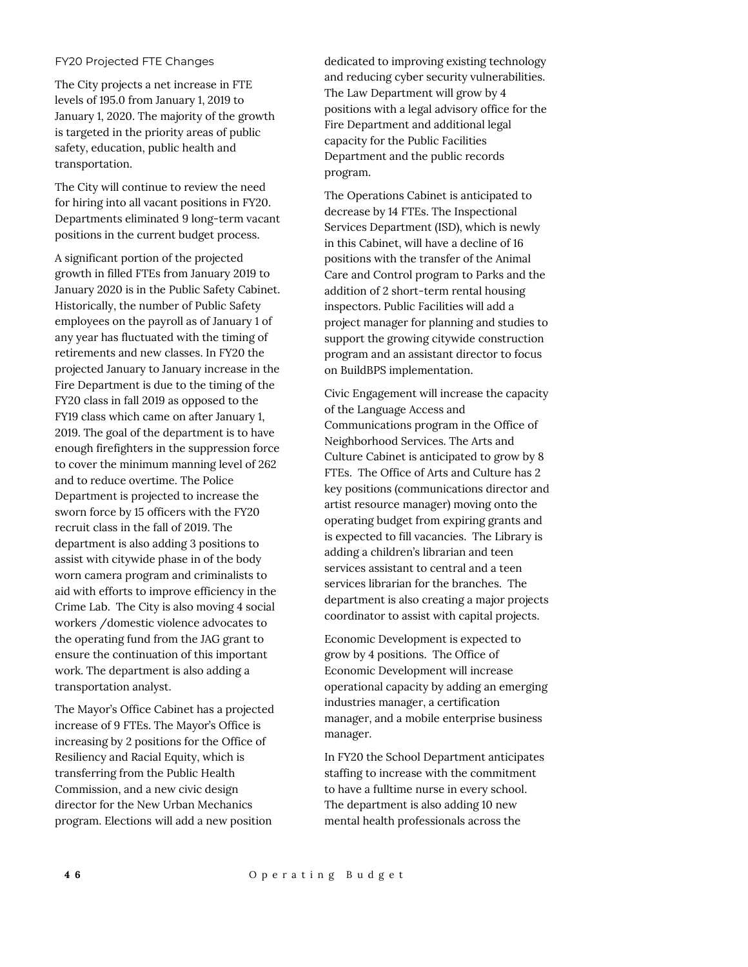#### FY20 Projected FTE Changes

The City projects a net increase in FTE levels of 195.0 from January 1, 2019 to January 1, 2020. The majority of the growth is targeted in the priority areas of public safety, education, public health and transportation.

The City will continue to review the need for hiring into all vacant positions in FY20. Departments eliminated 9 long-term vacant positions in the current budget process.

A significant portion of the projected growth in filled FTEs from January 2019 to January 2020 is in the Public Safety Cabinet. Historically, the number of Public Safety employees on the payroll as of January 1 of any year has fluctuated with the timing of retirements and new classes. In FY20 the projected January to January increase in the Fire Department is due to the timing of the FY20 class in fall 2019 as opposed to the FY19 class which came on after January 1, 2019. The goal of the department is to have enough firefighters in the suppression force to cover the minimum manning level of 262 and to reduce overtime. The Police Department is projected to increase the sworn force by 15 officers with the FY20 recruit class in the fall of 2019. The department is also adding 3 positions to assist with citywide phase in of the body worn camera program and criminalists to aid with efforts to improve efficiency in the Crime Lab. The City is also moving 4 social workers /domestic violence advocates to the operating fund from the JAG grant to ensure the continuation of this important work. The department is also adding a transportation analyst.

The Mayor's Office Cabinet has a projected increase of 9 FTEs. The Mayor's Office is increasing by 2 positions for the Office of Resiliency and Racial Equity, which is transferring from the Public Health Commission, and a new civic design director for the New Urban Mechanics program. Elections will add a new position

dedicated to improving existing technology and reducing cyber security vulnerabilities. The Law Department will grow by 4 positions with a legal advisory office for the Fire Department and additional legal capacity for the Public Facilities Department and the public records program.

The Operations Cabinet is anticipated to decrease by 14 FTEs. The Inspectional Services Department (ISD), which is newly in this Cabinet, will have a decline of 16 positions with the transfer of the Animal Care and Control program to Parks and the addition of 2 short-term rental housing inspectors. Public Facilities will add a project manager for planning and studies to support the growing citywide construction program and an assistant director to focus on BuildBPS implementation.

Civic Engagement will increase the capacity of the Language Access and Communications program in the Office of Neighborhood Services. The Arts and Culture Cabinet is anticipated to grow by 8 FTEs. The Office of Arts and Culture has 2 key positions (communications director and artist resource manager) moving onto the operating budget from expiring grants and is expected to fill vacancies. The Library is adding a children's librarian and teen services assistant to central and a teen services librarian for the branches. The department is also creating a major projects coordinator to assist with capital projects.

Economic Development is expected to grow by 4 positions. The Office of Economic Development will increase operational capacity by adding an emerging industries manager, a certification manager, and a mobile enterprise business manager.

In FY20 the School Department anticipates staffing to increase with the commitment to have a fulltime nurse in every school. The department is also adding 10 new mental health professionals across the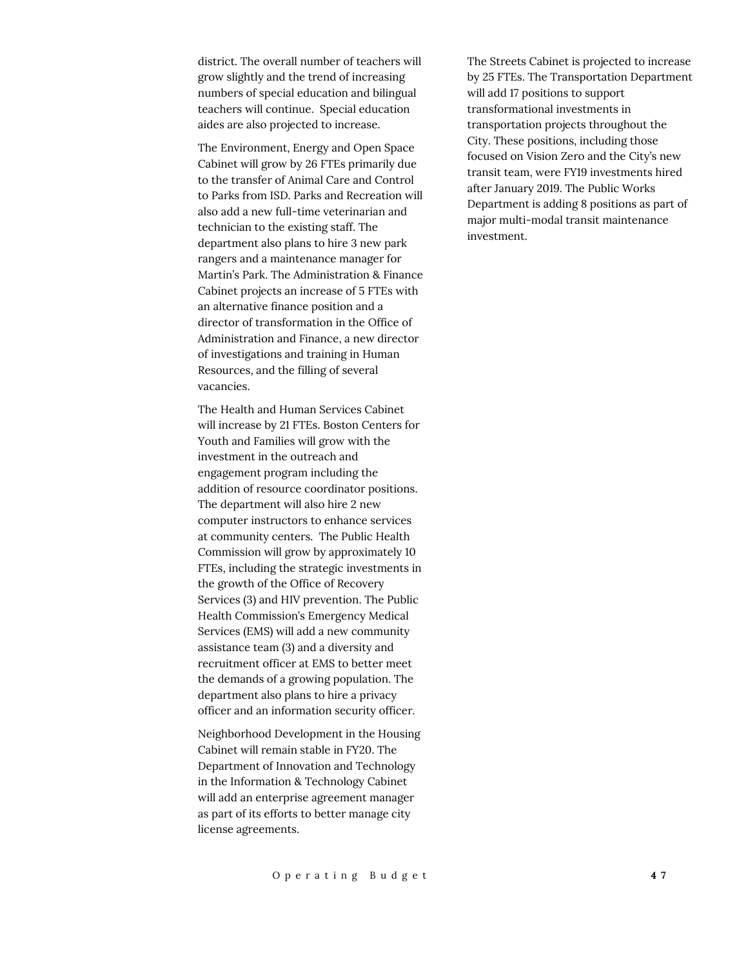district. The overall number of teachers will grow slightly and the trend of increasing numbers of special education and bilingual teachers will continue. Special education aides are also projected to increase.

The Environment, Energy and Open Space Cabinet will grow by 26 FTEs primarily due to the transfer of Animal Care and Control to Parks from ISD. Parks and Recreation will also add a new full-time veterinarian and technician to the existing staff. The department also plans to hire 3 new park rangers and a maintenance manager for Martin's Park. The Administration & Finance Cabinet projects an increase of 5 FTEs with an alternative finance position and a director of transformation in the Office of Administration and Finance, a new director of investigations and training in Human Resources, and the filling of several vacancies.

The Health and Human Services Cabinet will increase by 21 FTEs. Boston Centers for Youth and Families will grow with the investment in the outreach and engagement program including the addition of resource coordinator positions. The department will also hire 2 new computer instructors to enhance services at community centers. The Public Health Commission will grow by approximately 10 FTEs, including the strategic investments in the growth of the Office of Recovery Services (3) and HIV prevention. The Public Health Commission's Emergency Medical Services (EMS) will add a new community assistance team (3) and a diversity and recruitment officer at EMS to better meet the demands of a growing population. The department also plans to hire a privacy officer and an information security officer.

Neighborhood Development in the Housing Cabinet will remain stable in FY20. The Department of Innovation and Technology in the Information & Technology Cabinet will add an enterprise agreement manager as part of its efforts to better manage city license agreements.

The Streets Cabinet is projected to increase by 25 FTEs. The Transportation Department will add 17 positions to support transformational investments in transportation projects throughout the City. These positions, including those focused on Vision Zero and the City's new transit team, were FY19 investments hired after January 2019. The Public Works Department is adding 8 positions as part of major multi-modal transit maintenance investment.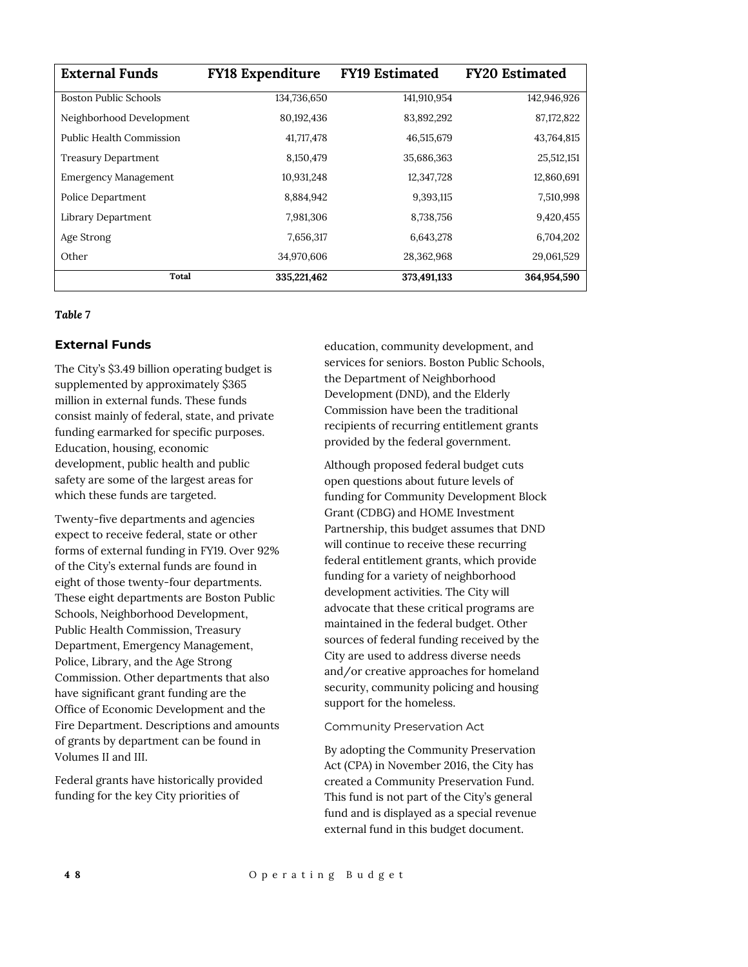| <b>External Funds</b>           | <b>FY18 Expenditure</b> | <b>FY19 Estimated</b> | <b>FY20 Estimated</b> |
|---------------------------------|-------------------------|-----------------------|-----------------------|
| <b>Boston Public Schools</b>    | 134,736,650             | 141,910,954           | 142,946,926           |
| Neighborhood Development        | 80,192,436              | 83,892,292            | 87,172,822            |
| <b>Public Health Commission</b> | 41,717,478              | 46,515,679            | 43,764,815            |
| <b>Treasury Department</b>      | 8,150,479               | 35,686,363            | 25,512,151            |
| <b>Emergency Management</b>     | 10,931,248              | 12,347,728            | 12,860,691            |
| Police Department               | 8,884,942               | 9,393,115             | 7,510,998             |
| Library Department              | 7,981,306               | 8,738,756             | 9,420,455             |
| Age Strong                      | 7,656,317               | 6,643,278             | 6,704,202             |
| Other                           | 34,970,606              | 28,362,968            | 29,061,529            |
| Total                           | 335,221,462             | 373,491,133           | 364,954,590           |

#### *Table 7*

#### **External Funds**

The City's \$3.49 billion operating budget is supplemented by approximately \$365 million in external funds. These funds consist mainly of federal, state, and private funding earmarked for specific purposes. Education, housing, economic development, public health and public safety are some of the largest areas for which these funds are targeted.

Twenty-five departments and agencies expect to receive federal, state or other forms of external funding in FY19. Over 92% of the City's external funds are found in eight of those twenty-four departments. These eight departments are Boston Public Schools, Neighborhood Development, Public Health Commission, Treasury Department, Emergency Management, Police, Library, and the Age Strong Commission. Other departments that also have significant grant funding are the Office of Economic Development and the Fire Department. Descriptions and amounts of grants by department can be found in Volumes II and III.

Federal grants have historically provided funding for the key City priorities of

education, community development, and services for seniors. Boston Public Schools, the Department of Neighborhood Development (DND), and the Elderly Commission have been the traditional recipients of recurring entitlement grants provided by the federal government.

Although proposed federal budget cuts open questions about future levels of funding for Community Development Block Grant (CDBG) and HOME Investment Partnership, this budget assumes that DND will continue to receive these recurring federal entitlement grants, which provide funding for a variety of neighborhood development activities. The City will advocate that these critical programs are maintained in the federal budget. Other sources of federal funding received by the City are used to address diverse needs and/or creative approaches for homeland security, community policing and housing support for the homeless.

Community Preservation Act

By adopting the Community Preservation Act (CPA) in November 2016, the City has created a Community Preservation Fund. This fund is not part of the City's general fund and is displayed as a special revenue external fund in this budget document.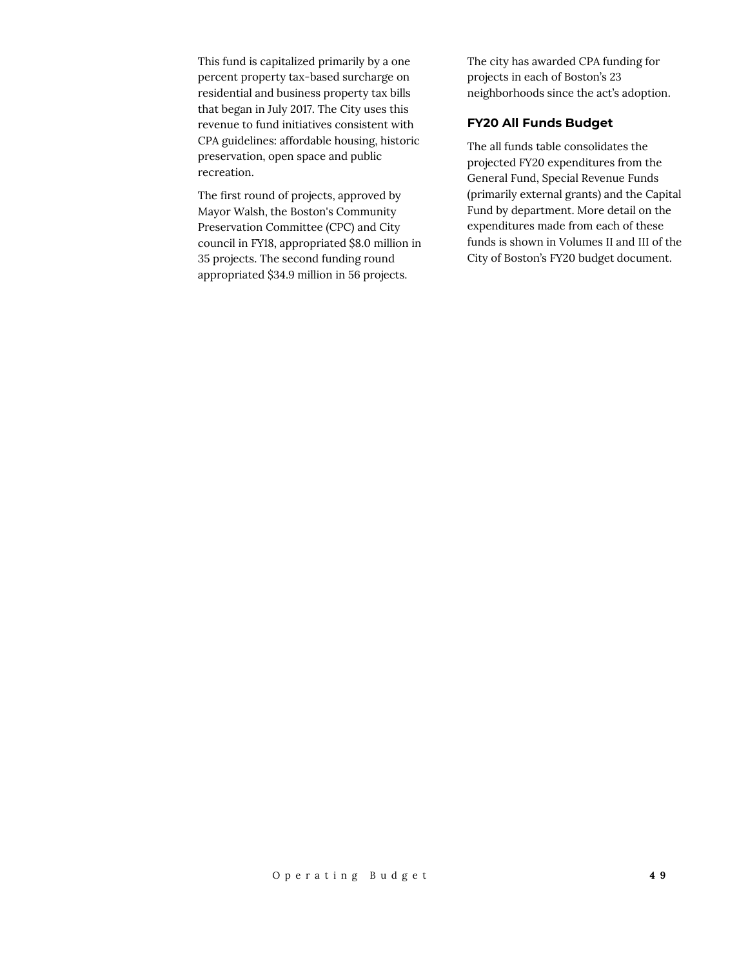This fund is capitalized primarily by a one percent property tax-based surcharge on residential and business property tax bills that began in July 2017. The City uses this revenue to fund initiatives consistent with CPA guidelines: affordable housing, historic preservation, open space and public recreation.

The first round of projects, approved by Mayor Walsh, the Boston's Community Preservation Committee (CPC) and City council in FY18, appropriated \$8.0 million in 35 projects. The second funding round appropriated \$34.9 million in 56 projects.

The city has awarded CPA funding for projects in each of Boston's 23 neighborhoods since the act's adoption.

## **FY20 All Funds Budget**

The all funds table consolidates the projected FY20 expenditures from the General Fund, Special Revenue Funds (primarily external grants) and the Capital Fund by department. More detail on the expenditures made from each of these funds is shown in Volumes II and III of the City of Boston's FY20 budget document.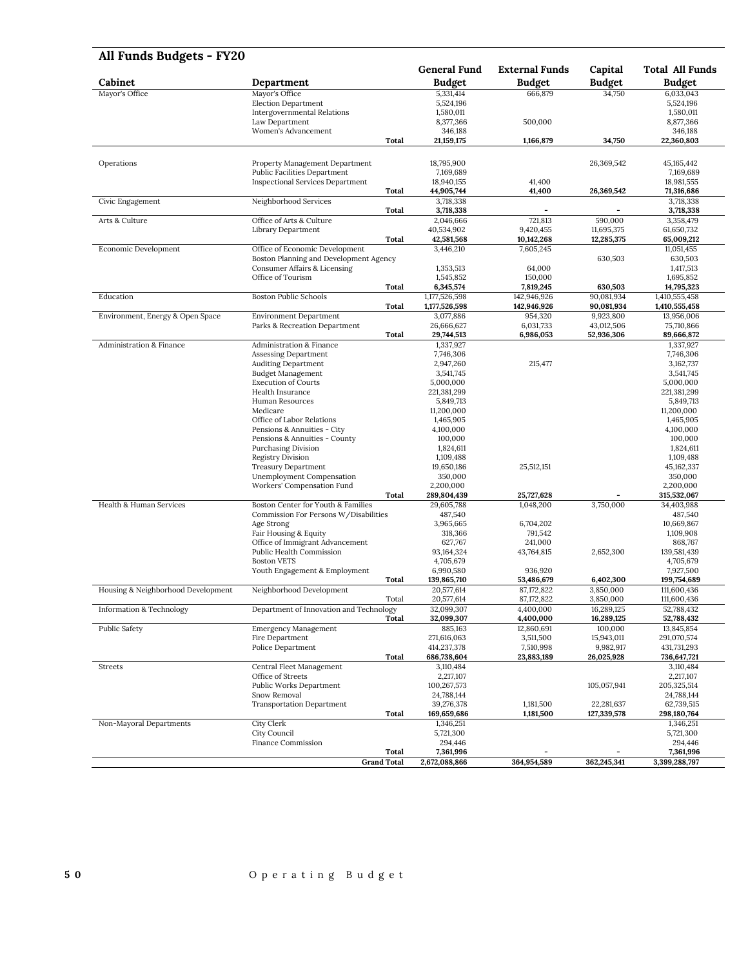| All Funds Budgets - FY20           |                                                                |                          |                       |                         |                          |
|------------------------------------|----------------------------------------------------------------|--------------------------|-----------------------|-------------------------|--------------------------|
|                                    |                                                                | <b>General Fund</b>      | <b>External Funds</b> | Capital                 | <b>Total All Funds</b>   |
| Cabinet                            | Department                                                     | <b>Budget</b>            | <b>Budget</b>         | <b>Budget</b>           | Budget                   |
| Mayor's Office                     | Mayor's Office                                                 | 5,331,414                | 666,879               | 34,750                  | 6,033,043                |
|                                    | <b>Election Department</b><br>Intergovernmental Relations      | 5,524,196<br>1,580,011   |                       |                         | 5,524,196<br>1,580,011   |
|                                    | Law Department                                                 | 8,377,366                | 500,000               |                         | 8,877,366                |
|                                    | Women's Advancement                                            | 346,188                  |                       |                         | 346,188                  |
|                                    | Total                                                          | 21,159,175               | 1,166,879             | 34,750                  | 22,360,803               |
|                                    |                                                                |                          |                       |                         |                          |
| Operations                         | Property Management Department                                 | 18,795,900               |                       | 26,369,542              | 45, 165, 442             |
|                                    | <b>Public Facilities Department</b>                            | 7,169,689                |                       |                         | 7,169,689                |
|                                    | <b>Inspectional Services Department</b>                        | 18,940,155               | 41,400                |                         | 18,981,555               |
|                                    | Total                                                          | 44,905,744               | 41,400                | 26,369,542              | 71,316,686               |
| Civic Engagement                   | Neighborhood Services                                          | 3,718,338                |                       |                         | 3,718,338                |
|                                    | <b>Total</b><br>Office of Arts & Culture                       | 3,718,338                |                       | 590,000                 | 3,718,338                |
| Arts & Culture                     | Library Department                                             | 2,046,666<br>40,534,902  | 721,813<br>9,420,455  | 11,695,375              | 3,358,479<br>61,650,732  |
|                                    | Total                                                          | 42,581,568               | 10,142,268            | 12,285,375              | 65,009,212               |
| Economic Development               | Office of Economic Development                                 | 3,446,210                | 7,605,245             |                         | 11,051,455               |
|                                    | Boston Planning and Development Agency                         |                          |                       | 630,503                 | 630,503                  |
|                                    | Consumer Affairs & Licensing                                   | 1,353,513                | 64,000                |                         | 1,417,513                |
|                                    | Office of Tourism                                              | 1,545,852                | 150,000               |                         | 1,695,852                |
|                                    | Total                                                          | 6,345,574                | 7,819,245             | 630,503                 | 14,795,323               |
| Education                          | <b>Boston Public Schools</b>                                   | 1,177,526,598            | 142,946,926           | 90,081,934              | 1,410,555,458            |
|                                    | Total                                                          | 1,177,526,598            | 142,946,926           | 90,081,934<br>9.923.800 | 1,410,555,458            |
| Environment, Energy & Open Space   | <b>Environment Department</b><br>Parks & Recreation Department | 3,077,886<br>26,666,627  | 954,320<br>6,031,733  | 43,012,506              | 13,956,006<br>75,710,866 |
|                                    | Total                                                          | 29,744,513               | 6,986,053             | 52,936,306              | 89,666,872               |
| Administration & Finance           | Administration & Finance                                       | 1,337,927                |                       |                         | 1,337,927                |
|                                    | Assessing Department                                           | 7,746,306                |                       |                         | 7,746,306                |
|                                    | <b>Auditing Department</b>                                     | 2,947,260                | 215,477               |                         | 3,162,737                |
|                                    | <b>Budget Management</b>                                       | 3,541,745                |                       |                         | 3,541,745                |
|                                    | <b>Execution of Courts</b>                                     | 5,000,000                |                       |                         | 5,000,000                |
|                                    | Health Insurance                                               | 221,381,299              |                       |                         | 221,381,299              |
|                                    | Human Resources<br>Medicare                                    | 5,849,713<br>11,200,000  |                       |                         | 5,849,713<br>11,200,000  |
|                                    | Office of Labor Relations                                      | 1,465,905                |                       |                         | 1,465,905                |
|                                    | Pensions & Annuities - City                                    | 4,100,000                |                       |                         | 4,100,000                |
|                                    | Pensions & Annuities - County                                  | 100,000                  |                       |                         | 100,000                  |
|                                    | Purchasing Division                                            | 1,824,611                |                       |                         | 1,824,611                |
|                                    | <b>Registry Division</b>                                       | 1,109,488                |                       |                         | 1,109,488                |
|                                    | <b>Treasury Department</b>                                     | 19,650,186               | 25,512,151            |                         | 45,162,337               |
|                                    | Unemployment Compensation                                      | 350,000                  |                       |                         | 350,000                  |
|                                    | Workers' Compensation Fund<br>Total                            | 2,200,000<br>289,804,439 | 25,727,628            |                         | 2,200,000<br>315,532,067 |
| Health & Human Services            | Boston Center for Youth & Families                             | 29,605,788               | 1,048,200             | 3,750,000               | 34,403,988               |
|                                    | Commission For Persons W/Disabilities                          | 487,540                  |                       |                         | 487,540                  |
|                                    | Age Strong                                                     | 3,965,665                | 6,704,202             |                         | 10,669,867               |
|                                    | Fair Housing & Equity                                          | 318,366                  | 791,542               |                         | 1,109,908                |
|                                    | Office of Immigrant Advancement                                | 627,767                  | 241,000               |                         | 868,767                  |
|                                    | Public Health Commission                                       | 93,164,324               | 43,764,815            | 2,652,300               | 139,581,439              |
|                                    | <b>Boston VETS</b><br>Youth Engagement & Employment            | 4,705,679<br>6,990,580   | 936,920               |                         | 4,705,679<br>7,927,500   |
|                                    | Total                                                          | 139,865,710              | 53,486,679            | 6,402,300               | 199,754,689              |
| Housing & Neighborhood Development | Neighborhood Development                                       | 20,577,614               | 87,172,822            | 3,850,000               | 111,600,436              |
|                                    | Total                                                          | 20,577,614               | 87,172,822            | 3,850,000               | 111,600,436              |
| Information & Technology           | Department of Innovation and Technology                        | 32,099,307               | 4,400,000             | 16,289,125              | 52,788,432               |
|                                    | Total                                                          | 32,099,307               | 4,400,000             | 16,289,125              | 52,788,432               |
| Public Safety                      | <b>Emergency Management</b>                                    | 885,163                  | 12,860,691            | 100,000                 | 13,845,854               |
|                                    | Fire Department                                                | 271,616,063              | 3,511,500             | 15,943,011              | 291,070,574              |
|                                    | Police Department                                              | 414,237,378              | 7,510,998             | 9,982,917               | 431,731,293              |
| Streets                            | Total<br>Central Fleet Management                              | 686,738,604<br>3,110,484 | 23,883,189            | 26,025,928              | 736,647,721<br>3,110,484 |
|                                    | Office of Streets                                              | 2,217,107                |                       |                         | 2,217,107                |
|                                    | Public Works Department                                        | 100,267,573              |                       | 105,057,941             | 205,325,514              |
|                                    | Snow Removal                                                   | 24,788,144               |                       |                         | 24,788,144               |
|                                    | <b>Transportation Department</b>                               | 39,276,378               | 1,181,500             | 22,281,637              | 62,739,515               |
|                                    | Total                                                          | 169,659,686              | 1,181,500             | 127,339,578             | 298,180,764              |
| Non-Mayoral Departments            | City Clerk                                                     | 1,346,251                |                       |                         | 1,346,251                |
|                                    | City Council                                                   | 5,721,300                |                       |                         | 5,721,300                |
|                                    | Finance Commission                                             | 294,446                  |                       |                         | 294,446                  |
|                                    | <b>Total</b><br><b>Grand Total</b>                             | 7,361,996                | 364,954,589           | 362,245,341             | 7,361,996                |
|                                    |                                                                | 2,672,088,866            |                       |                         | 3,399,288,797            |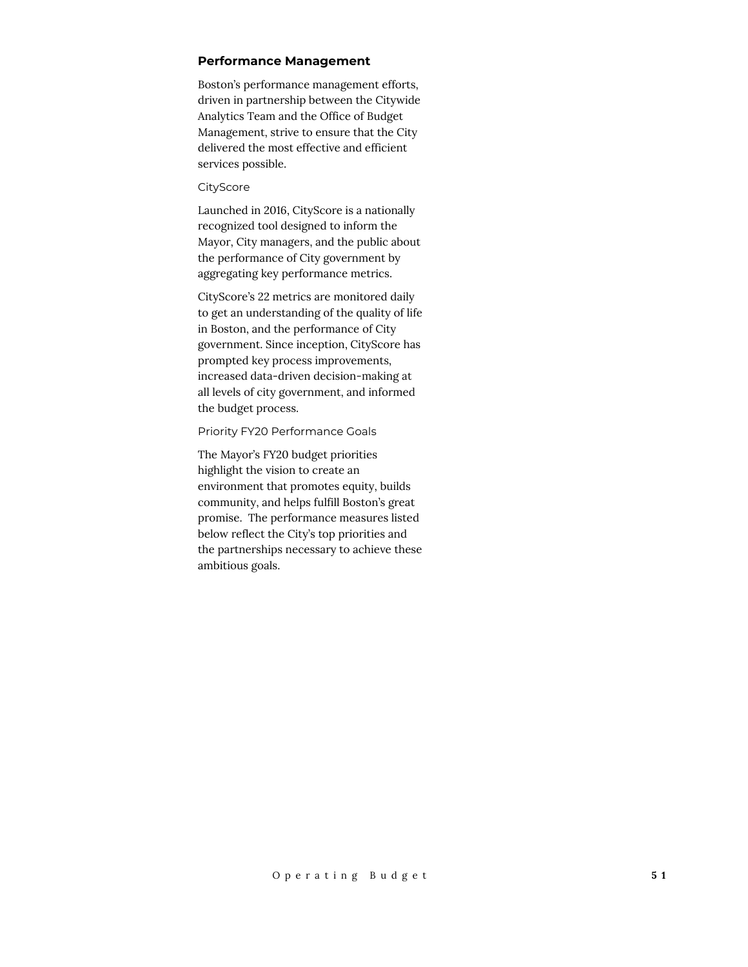#### **Performance Management**

Boston's performance management efforts, driven in partnership between the Citywide Analytics Team and the Office of Budget Management, strive to ensure that the City delivered the most effective and efficient services possible.

#### **CityScore**

Launched in 2016, CityScore is a nationally recognized tool designed to inform the Mayor, City managers, and the public about the performance of City government by aggregating key performance metrics.

CityScore's 22 metrics are monitored daily to get an understanding of the quality of life in Boston, and the performance of City government. Since inception, CityScore has prompted key process improvements, increased data-driven decision-making at all levels of city government, and informed the budget process.

#### Priority FY20 Performance Goals

The Mayor's FY20 budget priorities highlight the vision to create an environment that promotes equity, builds community, and helps fulfill Boston's great promise. The performance measures listed below reflect the City's top priorities and the partnerships necessary to achieve these ambitious goals.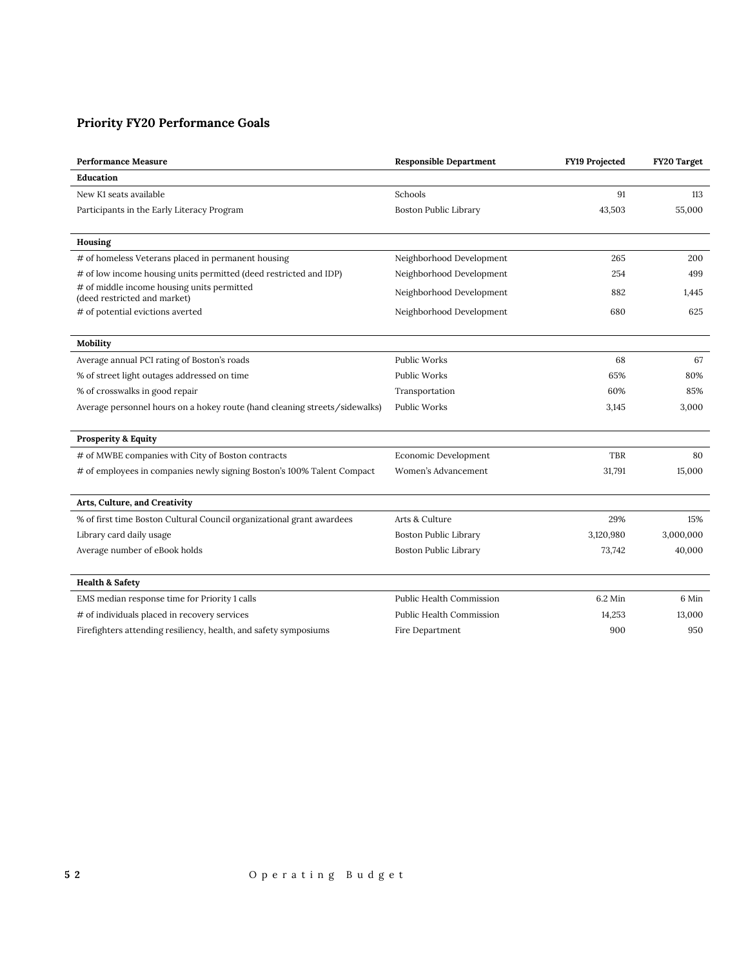# **Priority FY20 Performance Goals**

| <b>Performance Measure</b>                                                 | <b>Responsible Department</b> | FY19 Projected | FY20 Target |
|----------------------------------------------------------------------------|-------------------------------|----------------|-------------|
| Education                                                                  |                               |                |             |
| New K1 seats available                                                     | Schools                       | 91             | 113         |
| Participants in the Early Literacy Program                                 | Boston Public Library         | 43,503         | 55,000      |
|                                                                            |                               |                |             |
| Housing                                                                    |                               |                |             |
| # of homeless Veterans placed in permanent housing                         | Neighborhood Development      | 265            | 200         |
| # of low income housing units permitted (deed restricted and IDP)          | Neighborhood Development      | 254            | 499         |
| # of middle income housing units permitted<br>(deed restricted and market) | Neighborhood Development      | 882            | 1,445       |
| # of potential evictions averted                                           | Neighborhood Development      | 680            | 625         |
|                                                                            |                               |                |             |
| Mobility                                                                   |                               |                |             |
| Average annual PCI rating of Boston's roads                                | <b>Public Works</b>           | 68             | 67          |
| % of street light outages addressed on time                                | Public Works                  | 65%            | 80%         |
| % of crosswalks in good repair                                             | Transportation                | 60%            | 85%         |
| Average personnel hours on a hokey route (hand cleaning streets/sidewalks) | <b>Public Works</b>           | 3,145          | 3,000       |
|                                                                            |                               |                |             |
| <b>Prosperity &amp; Equity</b>                                             |                               |                |             |
| # of MWBE companies with City of Boston contracts                          | Economic Development          | <b>TBR</b>     | 80          |
| # of employees in companies newly signing Boston's 100% Talent Compact     | Women's Advancement           | 31,791         | 15,000      |
|                                                                            |                               |                |             |
| Arts, Culture, and Creativity                                              |                               |                |             |
| % of first time Boston Cultural Council organizational grant awardees      | Arts & Culture                | 29%            | 15%         |
| Library card daily usage                                                   | Boston Public Library         | 3,120,980      | 3,000,000   |
| Average number of eBook holds                                              | <b>Boston Public Library</b>  | 73,742         | 40,000      |
|                                                                            |                               |                |             |
| <b>Health &amp; Safety</b>                                                 |                               |                |             |
| EMS median response time for Priority 1 calls                              | Public Health Commission      | 6.2 Min        | 6 Min       |
| # of individuals placed in recovery services                               | Public Health Commission      | 14,253         | 13,000      |
| Firefighters attending resiliency, health, and safety symposiums           | Fire Department               | 900            | 950         |
|                                                                            |                               |                |             |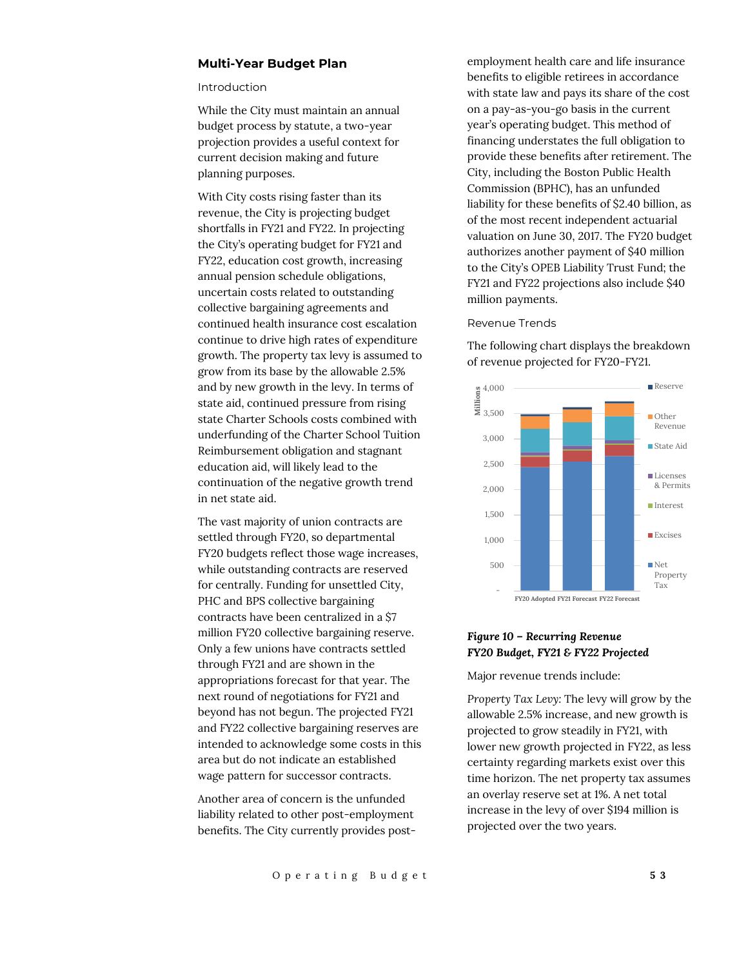## **Multi-Year Budget Plan**

#### Introduction

While the City must maintain an annual budget process by statute, a two-year projection provides a useful context for current decision making and future planning purposes.

With City costs rising faster than its revenue, the City is projecting budget shortfalls in FY21 and FY22. In projecting the City's operating budget for FY21 and FY22, education cost growth, increasing annual pension schedule obligations, uncertain costs related to outstanding collective bargaining agreements and continued health insurance cost escalation continue to drive high rates of expenditure growth. The property tax levy is assumed to grow from its base by the allowable 2.5% and by new growth in the levy. In terms of state aid, continued pressure from rising state Charter Schools costs combined with underfunding of the Charter School Tuition Reimbursement obligation and stagnant education aid, will likely lead to the continuation of the negative growth trend in net state aid.

The vast majority of union contracts are settled through FY20, so departmental FY20 budgets reflect those wage increases, while outstanding contracts are reserved for centrally. Funding for unsettled City, PHC and BPS collective bargaining contracts have been centralized in a \$7 million FY20 collective bargaining reserve. Only a few unions have contracts settled through FY21 and are shown in the appropriations forecast for that year. The next round of negotiations for FY21 and beyond has not begun. The projected FY21 and FY22 collective bargaining reserves are intended to acknowledge some costs in this area but do not indicate an established wage pattern for successor contracts.

Another area of concern is the unfunded liability related to other post-employment benefits. The City currently provides postemployment health care and life insurance benefits to eligible retirees in accordance with state law and pays its share of the cost on a pay-as-you-go basis in the current year's operating budget. This method of financing understates the full obligation to provide these benefits after retirement. The City, including the Boston Public Health Commission (BPHC), has an unfunded liability for these benefits of \$2.40 billion, as of the most recent independent actuarial valuation on June 30, 2017. The FY20 budget authorizes another payment of \$40 million to the City's OPEB Liability Trust Fund; the FY21 and FY22 projections also include \$40 million payments.

#### Revenue Trends

The following chart displays the breakdown of revenue projected for FY20-FY21.



#### *Figure 10 – Recurring Revenue FY20 Budget, FY21 & FY22 Projected*

Major revenue trends include:

*Property Tax Levy:* The levy will grow by the allowable 2.5% increase, and new growth is projected to grow steadily in FY21, with lower new growth projected in FY22, as less certainty regarding markets exist over this time horizon. The net property tax assumes an overlay reserve set at 1%. A net total increase in the levy of over \$194 million is projected over the two years.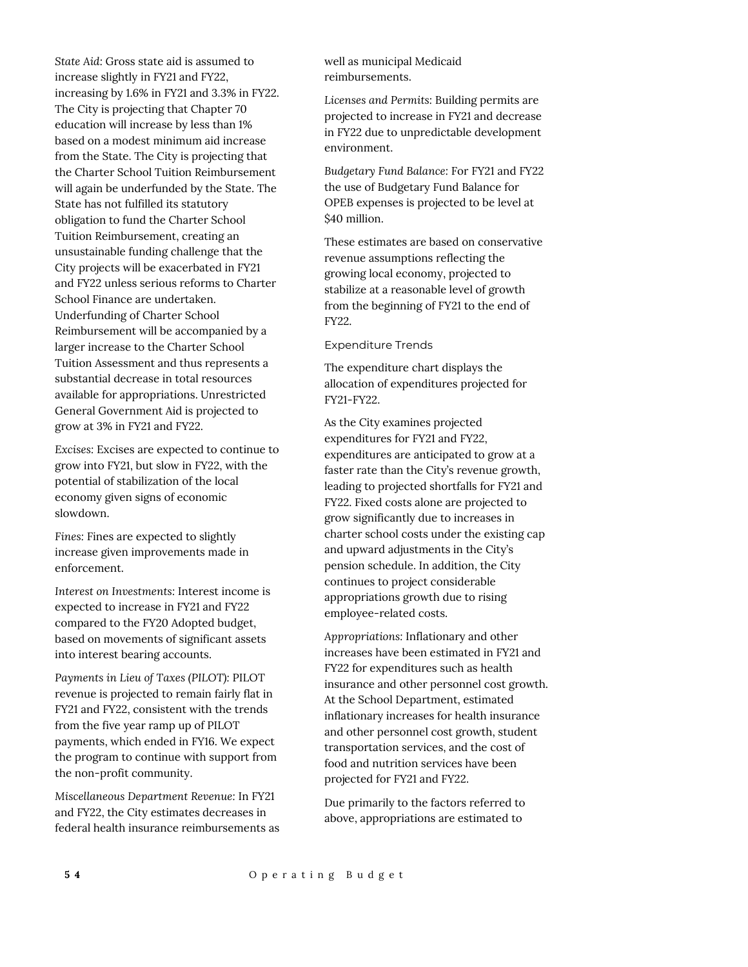*State Aid:* Gross state aid is assumed to increase slightly in FY21 and FY22, increasing by 1.6% in FY21 and 3.3% in FY22. The City is projecting that Chapter 70 education will increase by less than 1% based on a modest minimum aid increase from the State. The City is projecting that the Charter School Tuition Reimbursement will again be underfunded by the State. The State has not fulfilled its statutory obligation to fund the Charter School Tuition Reimbursement, creating an unsustainable funding challenge that the City projects will be exacerbated in FY21 and FY22 unless serious reforms to Charter School Finance are undertaken. Underfunding of Charter School Reimbursement will be accompanied by a larger increase to the Charter School Tuition Assessment and thus represents a substantial decrease in total resources available for appropriations. Unrestricted General Government Aid is projected to grow at 3% in FY21 and FY22.

*Excises:* Excises are expected to continue to grow into FY21, but slow in FY22, with the potential of stabilization of the local economy given signs of economic slowdown.

*Fines:* Fines are expected to slightly increase given improvements made in enforcement.

*Interest on Investments:* Interest income is expected to increase in FY21 and FY22 compared to the FY20 Adopted budget, based on movements of significant assets into interest bearing accounts.

*Payments in Lieu of Taxes (PILOT):* PILOT revenue is projected to remain fairly flat in FY21 and FY22, consistent with the trends from the five year ramp up of PILOT payments, which ended in FY16. We expect the program to continue with support from the non-profit community.

*Miscellaneous Department Revenue:* In FY21 and FY22, the City estimates decreases in federal health insurance reimbursements as well as municipal Medicaid reimbursements.

*Licenses and Permits:* Building permits are projected to increase in FY21 and decrease in FY22 due to unpredictable development environment.

*Budgetary Fund Balance:* For FY21 and FY22 the use of Budgetary Fund Balance for OPEB expenses is projected to be level at \$40 million.

These estimates are based on conservative revenue assumptions reflecting the growing local economy, projected to stabilize at a reasonable level of growth from the beginning of FY21 to the end of FY22.

Expenditure Trends

The expenditure chart displays the allocation of expenditures projected for FY21-FY22.

As the City examines projected expenditures for FY21 and FY22, expenditures are anticipated to grow at a faster rate than the City's revenue growth, leading to projected shortfalls for FY21 and FY22. Fixed costs alone are projected to grow significantly due to increases in charter school costs under the existing cap and upward adjustments in the City's pension schedule. In addition, the City continues to project considerable appropriations growth due to rising employee-related costs.

*Appropriations:* Inflationary and other increases have been estimated in FY21 and FY22 for expenditures such as health insurance and other personnel cost growth. At the School Department, estimated inflationary increases for health insurance and other personnel cost growth, student transportation services, and the cost of food and nutrition services have been projected for FY21 and FY22.

Due primarily to the factors referred to above, appropriations are estimated to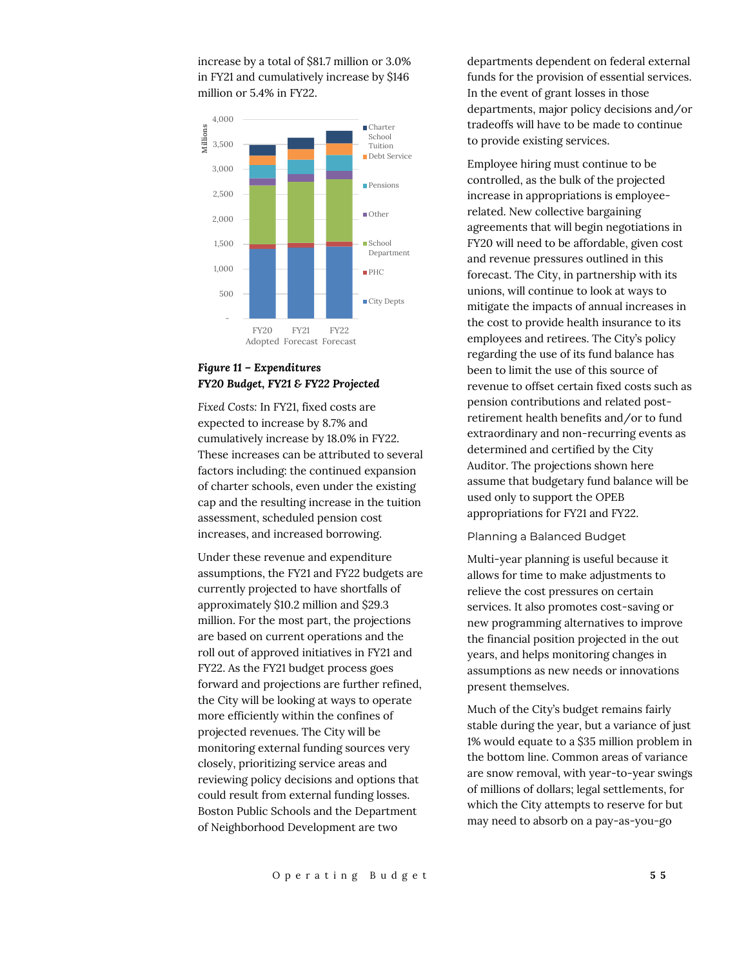increase by a total of \$81.7 million or 3.0% in FY21 and cumulatively increase by \$146 million or 5.4% in FY22.



# *Figure 11 – Expenditures FY20 Budget, FY21 & FY22 Projected*

*Fixed Costs:* In FY21, fixed costs are expected to increase by 8.7% and cumulatively increase by 18.0% in FY22. These increases can be attributed to several factors including: the continued expansion of charter schools, even under the existing cap and the resulting increase in the tuition assessment, scheduled pension cost increases, and increased borrowing.

Under these revenue and expenditure assumptions, the FY21 and FY22 budgets are currently projected to have shortfalls of approximately \$10.2 million and \$29.3 million. For the most part, the projections are based on current operations and the roll out of approved initiatives in FY21 and FY22. As the FY21 budget process goes forward and projections are further refined, the City will be looking at ways to operate more efficiently within the confines of projected revenues. The City will be monitoring external funding sources very closely, prioritizing service areas and reviewing policy decisions and options that could result from external funding losses. Boston Public Schools and the Department of Neighborhood Development are two

departments dependent on federal external funds for the provision of essential services. In the event of grant losses in those departments, major policy decisions and/or tradeoffs will have to be made to continue to provide existing services.

Employee hiring must continue to be controlled, as the bulk of the projected increase in appropriations is employeerelated. New collective bargaining agreements that will begin negotiations in FY20 will need to be affordable, given cost and revenue pressures outlined in this forecast. The City, in partnership with its unions, will continue to look at ways to mitigate the impacts of annual increases in the cost to provide health insurance to its employees and retirees. The City's policy regarding the use of its fund balance has been to limit the use of this source of revenue to offset certain fixed costs such as pension contributions and related postretirement health benefits and/or to fund extraordinary and non-recurring events as determined and certified by the City Auditor. The projections shown here assume that budgetary fund balance will be used only to support the OPEB appropriations for FY21 and FY22.

#### Planning a Balanced Budget

Multi-year planning is useful because it allows for time to make adjustments to relieve the cost pressures on certain services. It also promotes cost-saving or new programming alternatives to improve the financial position projected in the out years, and helps monitoring changes in assumptions as new needs or innovations present themselves.

Much of the City's budget remains fairly stable during the year, but a variance of just 1% would equate to a \$35 million problem in the bottom line. Common areas of variance are snow removal, with year-to-year swings of millions of dollars; legal settlements, for which the City attempts to reserve for but may need to absorb on a pay-as-you-go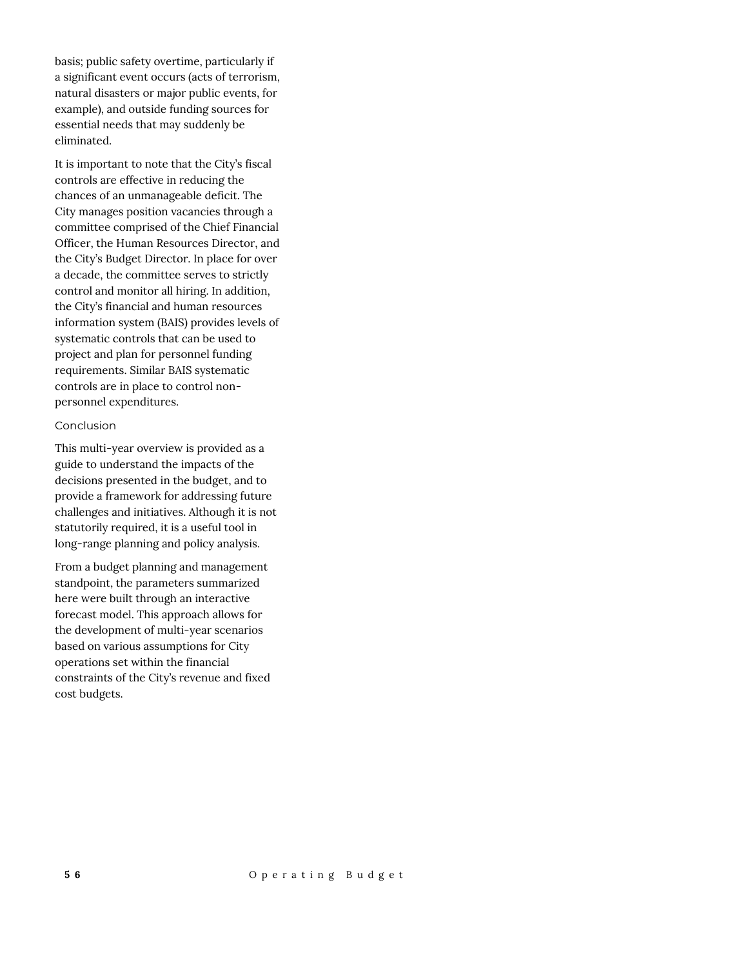basis; public safety overtime, particularly if a significant event occurs (acts of terrorism, natural disasters or major public events, for example), and outside funding sources for essential needs that may suddenly be eliminated.

It is important to note that the City's fiscal controls are effective in reducing the chances of an unmanageable deficit. The City manages position vacancies through a committee comprised of the Chief Financial Officer, the Human Resources Director, and the City's Budget Director. In place for over a decade, the committee serves to strictly control and monitor all hiring. In addition, the City's financial and human resources information system (BAIS) provides levels of systematic controls that can be used to project and plan for personnel funding requirements. Similar BAIS systematic controls are in place to control nonpersonnel expenditures.

#### Conclusion

This multi-year overview is provided as a guide to understand the impacts of the decisions presented in the budget, and to provide a framework for addressing future challenges and initiatives. Although it is not statutorily required, it is a useful tool in long-range planning and policy analysis.

From a budget planning and management standpoint, the parameters summarized here were built through an interactive forecast model. This approach allows for the development of multi-year scenarios based on various assumptions for City operations set within the financial constraints of the City's revenue and fixed cost budgets.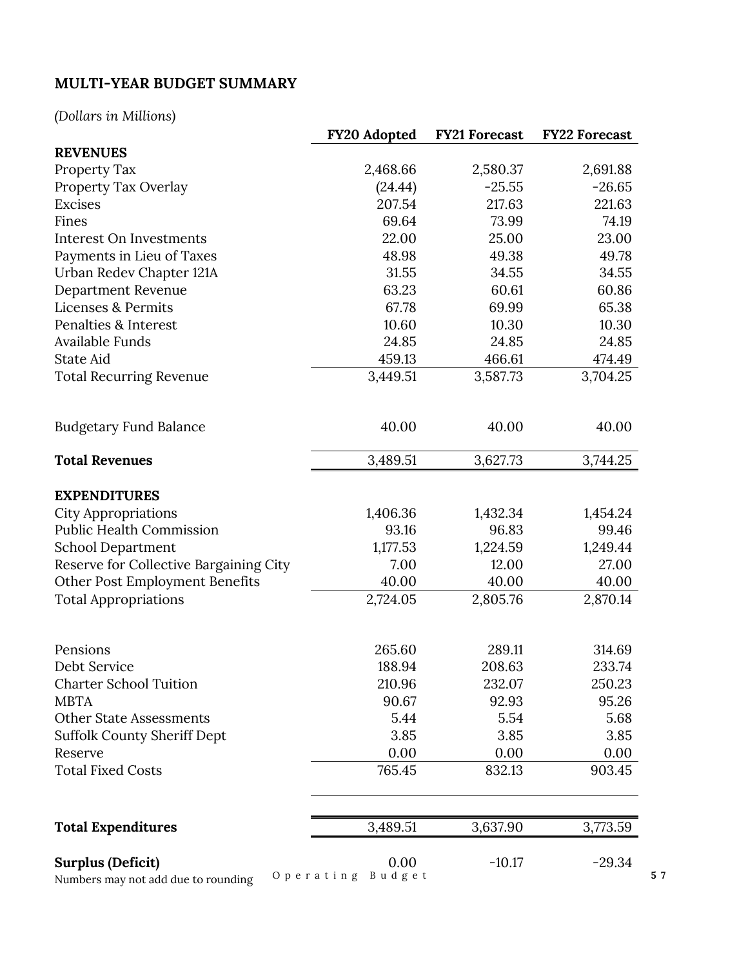# **MULTI-YEAR BUDGET SUMMARY**

# *(Dollars in Millions)*

|                                                                 | <b>FY20 Adopted</b>         | <b>FY21 Forecast</b> | <b>FY22 Forecast</b> |
|-----------------------------------------------------------------|-----------------------------|----------------------|----------------------|
| <b>REVENUES</b>                                                 |                             |                      |                      |
| Property Tax                                                    | 2,468.66                    | 2,580.37             | 2,691.88             |
| Property Tax Overlay                                            | (24.44)                     | $-25.55$             | $-26.65$             |
| <b>Excises</b>                                                  | 207.54                      | 217.63               | 221.63               |
| Fines                                                           | 69.64                       | 73.99                | 74.19                |
| Interest On Investments                                         | 22.00                       | 25.00                | 23.00                |
| Payments in Lieu of Taxes                                       | 48.98                       | 49.38                | 49.78                |
| Urban Redev Chapter 121A                                        | 31.55                       | 34.55                | 34.55                |
| Department Revenue                                              | 63.23                       | 60.61                | 60.86                |
| <b>Licenses &amp; Permits</b>                                   | 67.78                       | 69.99                | 65.38                |
| Penalties & Interest                                            | 10.60                       | 10.30                | 10.30                |
| Available Funds                                                 | 24.85                       | 24.85                | 24.85                |
| <b>State Aid</b>                                                | 459.13                      | 466.61               | 474.49               |
| <b>Total Recurring Revenue</b>                                  | 3,449.51                    | 3,587.73             | 3,704.25             |
| <b>Budgetary Fund Balance</b>                                   | 40.00                       | 40.00                | 40.00                |
| <b>Total Revenues</b>                                           | 3,489.51                    | 3,627.73             | 3,744.25             |
| <b>EXPENDITURES</b>                                             |                             |                      |                      |
| <b>City Appropriations</b>                                      | 1,406.36                    | 1,432.34             | 1,454.24             |
| <b>Public Health Commission</b>                                 | 93.16                       | 96.83                | 99.46                |
| <b>School Department</b>                                        | 1,177.53                    | 1,224.59             | 1,249.44             |
| Reserve for Collective Bargaining City                          | 7.00                        | 12.00                | 27.00                |
| Other Post Employment Benefits                                  | 40.00                       | 40.00                | 40.00                |
| <b>Total Appropriations</b>                                     | 2,724.05                    | 2,805.76             | 2,870.14             |
| Pensions                                                        | 265.60                      | 289.11               | 314.69               |
| Debt Service                                                    | 188.94                      | 208.63               | 233.74               |
| <b>Charter School Tuition</b>                                   | 210.96                      | 232.07               | 250.23               |
| <b>MBTA</b>                                                     | 90.67                       | 92.93                | 95.26                |
| <b>Other State Assessments</b>                                  | 5.44                        | 5.54                 | 5.68                 |
| <b>Suffolk County Sheriff Dept</b>                              | 3.85                        | 3.85                 | 3.85                 |
| Reserve                                                         | 0.00                        | 0.00                 | 0.00                 |
| <b>Total Fixed Costs</b>                                        | 765.45                      | 832.13               | 903.45               |
| <b>Total Expenditures</b>                                       | 3,489.51                    | 3,637.90             | 3,773.59             |
| <b>Surplus (Deficit)</b><br>Numbers may not add due to rounding | 0.00<br>Operating<br>Budget | $-10.17$             | $-29.34$             |